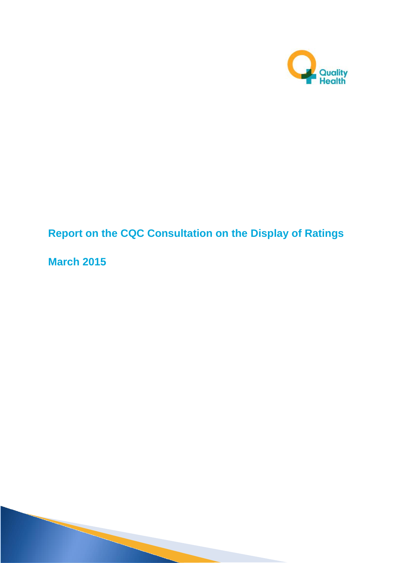

# **Report on the CQC Consultation on the Display of Ratings**

**March 2015**

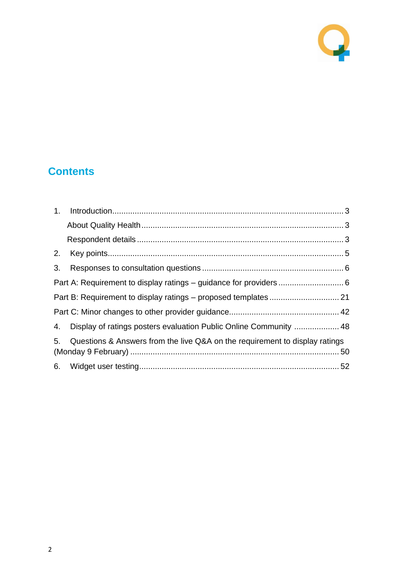

# **Contents**

| 2.             |                                                                             |  |
|----------------|-----------------------------------------------------------------------------|--|
| 3.             |                                                                             |  |
|                |                                                                             |  |
|                |                                                                             |  |
|                |                                                                             |  |
|                | 4. Display of ratings posters evaluation Public Online Community  48        |  |
| 5 <sub>1</sub> | Questions & Answers from the live Q&A on the requirement to display ratings |  |
|                |                                                                             |  |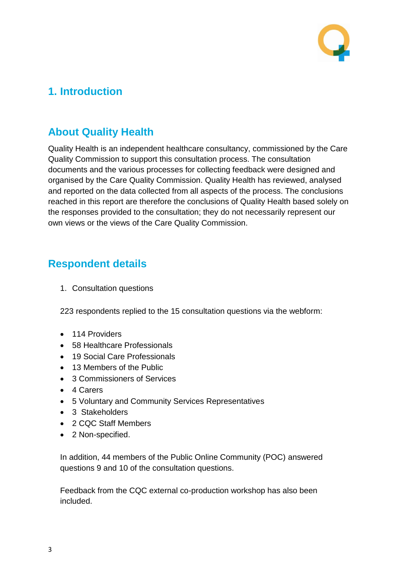

## <span id="page-2-0"></span>**1. Introduction**

### <span id="page-2-1"></span>**About Quality Health**

Quality Health is an independent healthcare consultancy, commissioned by the Care Quality Commission to support this consultation process. The consultation documents and the various processes for collecting feedback were designed and organised by the Care Quality Commission. Quality Health has reviewed, analysed and reported on the data collected from all aspects of the process. The conclusions reached in this report are therefore the conclusions of Quality Health based solely on the responses provided to the consultation; they do not necessarily represent our own views or the views of the Care Quality Commission.

### <span id="page-2-2"></span>**Respondent details**

1. Consultation questions

223 respondents replied to the 15 consultation questions via the webform:

- 114 Providers
- 58 Healthcare Professionals
- 19 Social Care Professionals
- 13 Members of the Public
- 3 Commissioners of Services
- 4 Carers
- 5 Voluntary and Community Services Representatives
- 3 Stakeholders
- 2 CQC Staff Members
- 2 Non-specified.

In addition, 44 members of the Public Online Community (POC) answered questions 9 and 10 of the consultation questions.

Feedback from the CQC external co-production workshop has also been included.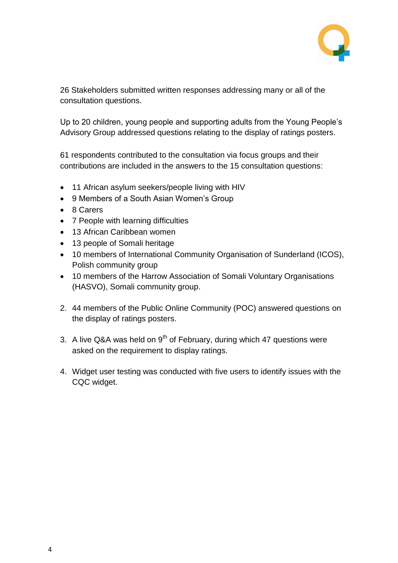

26 Stakeholders submitted written responses addressing many or all of the consultation questions.

Up to 20 children, young people and supporting adults from the Young People's Advisory Group addressed questions relating to the display of ratings posters.

61 respondents contributed to the consultation via focus groups and their contributions are included in the answers to the 15 consultation questions:

- 11 African asylum seekers/people living with HIV
- 9 Members of a South Asian Women's Group
- 8 Carers
- 7 People with learning difficulties
- 13 African Caribbean women
- 13 people of Somali heritage
- 10 members of International Community Organisation of Sunderland (ICOS), Polish community group
- 10 members of the Harrow Association of Somali Voluntary Organisations (HASVO), Somali community group.
- 2. 44 members of the Public Online Community (POC) answered questions on the display of ratings posters.
- 3. A live Q&A was held on  $9<sup>th</sup>$  of February, during which 47 questions were asked on the requirement to display ratings.
- 4. Widget user testing was conducted with five users to identify issues with the CQC widget.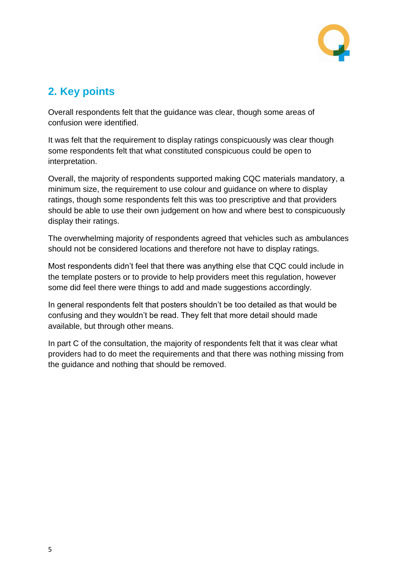

## <span id="page-4-0"></span>**2. Key points**

Overall respondents felt that the guidance was clear, though some areas of confusion were identified.

It was felt that the requirement to display ratings conspicuously was clear though some respondents felt that what constituted conspicuous could be open to interpretation.

Overall, the majority of respondents supported making CQC materials mandatory, a minimum size, the requirement to use colour and guidance on where to display ratings, though some respondents felt this was too prescriptive and that providers should be able to use their own judgement on how and where best to conspicuously display their ratings.

The overwhelming majority of respondents agreed that vehicles such as ambulances should not be considered locations and therefore not have to display ratings.

Most respondents didn't feel that there was anything else that CQC could include in the template posters or to provide to help providers meet this regulation, however some did feel there were things to add and made suggestions accordingly.

In general respondents felt that posters shouldn't be too detailed as that would be confusing and they wouldn't be read. They felt that more detail should made available, but through other means.

In part C of the consultation, the majority of respondents felt that it was clear what providers had to do meet the requirements and that there was nothing missing from the guidance and nothing that should be removed.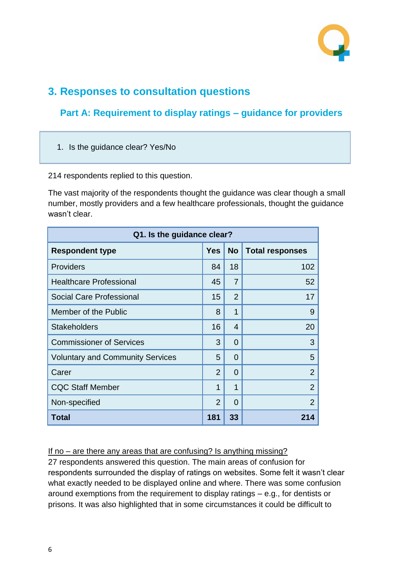

# <span id="page-5-0"></span>**3. Responses to consultation questions**

### <span id="page-5-1"></span>**Part A: Requirement to display ratings – guidance for providers**

1. Is the guidance clear? Yes/No

214 respondents replied to this question.

The vast majority of the respondents thought the guidance was clear though a small number, mostly providers and a few healthcare professionals, thought the guidance wasn't clear.

| Q1. Is the guidance clear?              |                |                |                        |  |  |
|-----------------------------------------|----------------|----------------|------------------------|--|--|
| <b>Respondent type</b>                  | <b>Yes</b>     | <b>No</b>      | <b>Total responses</b> |  |  |
| <b>Providers</b>                        | 84             | 18             | 102                    |  |  |
| <b>Healthcare Professional</b>          | 45             | $\overline{7}$ | 52                     |  |  |
| <b>Social Care Professional</b>         | 15             | $\overline{2}$ | 17                     |  |  |
| Member of the Public                    | 8              | 1              | 9                      |  |  |
| <b>Stakeholders</b>                     | 16             | 4              | 20                     |  |  |
| <b>Commissioner of Services</b>         | 3              | $\Omega$       | 3                      |  |  |
| <b>Voluntary and Community Services</b> | 5              | $\Omega$       | 5                      |  |  |
| Carer                                   | $\overline{2}$ | $\Omega$       | $\overline{2}$         |  |  |
| <b>CQC Staff Member</b>                 | 1              | 1              | $\overline{2}$         |  |  |
| Non-specified                           | $\overline{2}$ | $\Omega$       | $\overline{2}$         |  |  |
| Total                                   | 181            | 33             | 214                    |  |  |

#### If no – are there any areas that are confusing? Is anything missing?

27 respondents answered this question. The main areas of confusion for respondents surrounded the display of ratings on websites. Some felt it wasn't clear what exactly needed to be displayed online and where. There was some confusion around exemptions from the requirement to display ratings – e.g., for dentists or prisons. It was also highlighted that in some circumstances it could be difficult to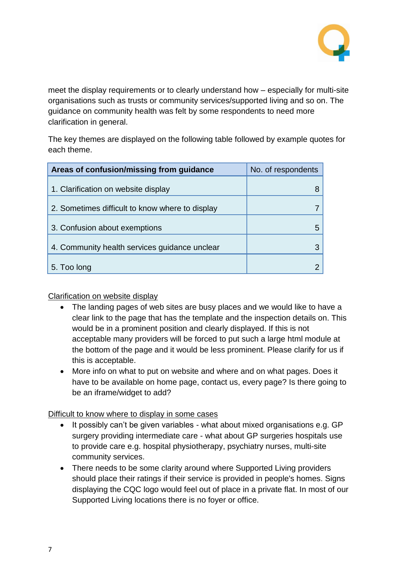

meet the display requirements or to clearly understand how – especially for multi-site organisations such as trusts or community services/supported living and so on. The guidance on community health was felt by some respondents to need more clarification in general.

The key themes are displayed on the following table followed by example quotes for each theme.

| Areas of confusion/missing from guidance        | No. of respondents |
|-------------------------------------------------|--------------------|
| 1. Clarification on website display             |                    |
| 2. Sometimes difficult to know where to display |                    |
| 3. Confusion about exemptions                   |                    |
| 4. Community health services guidance unclear   |                    |
| 5. Too long                                     |                    |

Clarification on website display

- The landing pages of web sites are busy places and we would like to have a clear link to the page that has the template and the inspection details on. This would be in a prominent position and clearly displayed. If this is not acceptable many providers will be forced to put such a large html module at the bottom of the page and it would be less prominent. Please clarify for us if this is acceptable.
- More info on what to put on website and where and on what pages. Does it have to be available on home page, contact us, every page? Is there going to be an iframe/widget to add?

Difficult to know where to display in some cases

- It possibly can't be given variables what about mixed organisations e.g. GP surgery providing intermediate care - what about GP surgeries hospitals use to provide care e.g. hospital physiotherapy, psychiatry nurses, multi-site community services.
- There needs to be some clarity around where Supported Living providers should place their ratings if their service is provided in people's homes. Signs displaying the CQC logo would feel out of place in a private flat. In most of our Supported Living locations there is no foyer or office.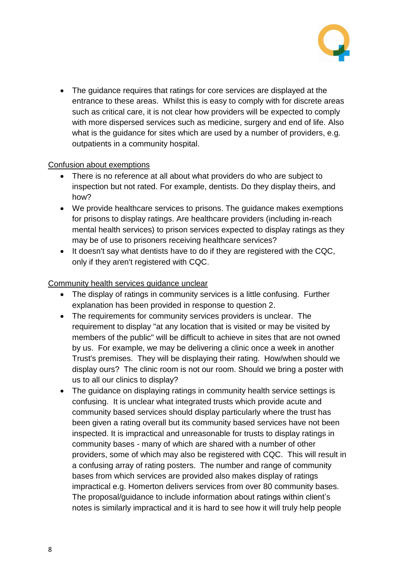

• The guidance requires that ratings for core services are displayed at the entrance to these areas. Whilst this is easy to comply with for discrete areas such as critical care, it is not clear how providers will be expected to comply with more dispersed services such as medicine, surgery and end of life. Also what is the guidance for sites which are used by a number of providers, e.g. outpatients in a community hospital.

#### Confusion about exemptions

- There is no reference at all about what providers do who are subject to inspection but not rated. For example, dentists. Do they display theirs, and how?
- We provide healthcare services to prisons. The guidance makes exemptions for prisons to display ratings. Are healthcare providers (including in-reach mental health services) to prison services expected to display ratings as they may be of use to prisoners receiving healthcare services?
- It doesn't say what dentists have to do if they are registered with the CQC, only if they aren't registered with CQC.

#### Community health services guidance unclear

- The display of ratings in community services is a little confusing. Further explanation has been provided in response to question 2.
- The requirements for community services providers is unclear. The requirement to display "at any location that is visited or may be visited by members of the public" will be difficult to achieve in sites that are not owned by us. For example, we may be delivering a clinic once a week in another Trust's premises. They will be displaying their rating. How/when should we display ours? The clinic room is not our room. Should we bring a poster with us to all our clinics to display?
- The guidance on displaying ratings in community health service settings is confusing. It is unclear what integrated trusts which provide acute and community based services should display particularly where the trust has been given a rating overall but its community based services have not been inspected. It is impractical and unreasonable for trusts to display ratings in community bases - many of which are shared with a number of other providers, some of which may also be registered with CQC. This will result in a confusing array of rating posters. The number and range of community bases from which services are provided also makes display of ratings impractical e.g. Homerton delivers services from over 80 community bases. The proposal/guidance to include information about ratings within client's notes is similarly impractical and it is hard to see how it will truly help people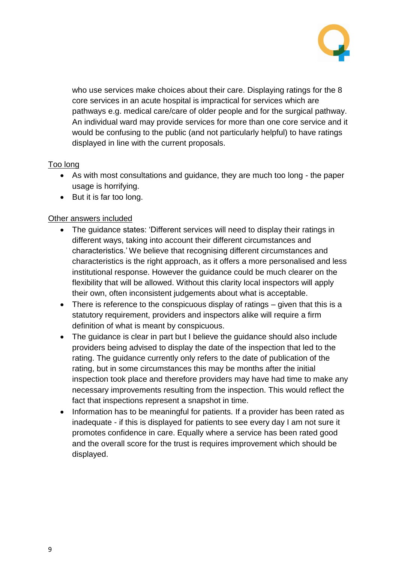

who use services make choices about their care. Displaying ratings for the 8 core services in an acute hospital is impractical for services which are pathways e.g. medical care/care of older people and for the surgical pathway. An individual ward may provide services for more than one core service and it would be confusing to the public (and not particularly helpful) to have ratings displayed in line with the current proposals.

#### Too long

- As with most consultations and guidance, they are much too long the paper usage is horrifying.
- But it is far too long.

#### Other answers included

- The guidance states: 'Different services will need to display their ratings in different ways, taking into account their different circumstances and characteristics.' We believe that recognising different circumstances and characteristics is the right approach, as it offers a more personalised and less institutional response. However the guidance could be much clearer on the flexibility that will be allowed. Without this clarity local inspectors will apply their own, often inconsistent judgements about what is acceptable.
- There is reference to the conspicuous display of ratings given that this is a statutory requirement, providers and inspectors alike will require a firm definition of what is meant by conspicuous.
- The guidance is clear in part but I believe the guidance should also include providers being advised to display the date of the inspection that led to the rating. The guidance currently only refers to the date of publication of the rating, but in some circumstances this may be months after the initial inspection took place and therefore providers may have had time to make any necessary improvements resulting from the inspection. This would reflect the fact that inspections represent a snapshot in time.
- Information has to be meaningful for patients. If a provider has been rated as inadequate - if this is displayed for patients to see every day I am not sure it promotes confidence in care. Equally where a service has been rated good and the overall score for the trust is requires improvement which should be displayed.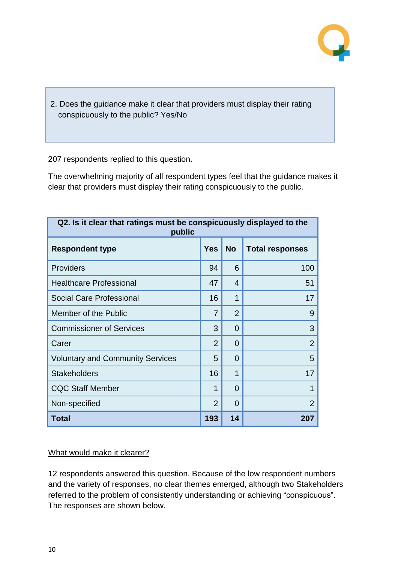

2. Does the guidance make it clear that providers must display their rating conspicuously to the public? Yes/No

207 respondents replied to this question.

The overwhelming majority of all respondent types feel that the guidance makes it clear that providers must display their rating conspicuously to the public.

| Q2. Is it clear that ratings must be conspicuously displayed to the<br>public |                |                |                        |  |
|-------------------------------------------------------------------------------|----------------|----------------|------------------------|--|
| <b>Respondent type</b>                                                        | <b>Yes</b>     | <b>No</b>      | <b>Total responses</b> |  |
| <b>Providers</b>                                                              | 94             | 6              | 100                    |  |
| <b>Healthcare Professional</b>                                                | 47             | 4              | 51                     |  |
| Social Care Professional                                                      | 16             | 1              | 17                     |  |
| Member of the Public                                                          | 7              | $\overline{2}$ | 9                      |  |
| <b>Commissioner of Services</b>                                               | 3              | 0              | 3                      |  |
| Carer                                                                         | $\overline{2}$ | 0              | $\overline{2}$         |  |
| <b>Voluntary and Community Services</b>                                       | 5              | 0              | 5                      |  |
| <b>Stakeholders</b>                                                           | 16             | 1              | 17                     |  |
| <b>CQC Staff Member</b>                                                       | 1              | 0              |                        |  |
| Non-specified                                                                 | $\overline{2}$ | 0              | 2                      |  |
| <b>Total</b>                                                                  | 193            | 14             | 207                    |  |

#### What would make it clearer?

12 respondents answered this question. Because of the low respondent numbers and the variety of responses, no clear themes emerged, although two Stakeholders referred to the problem of consistently understanding or achieving "conspicuous". The responses are shown below.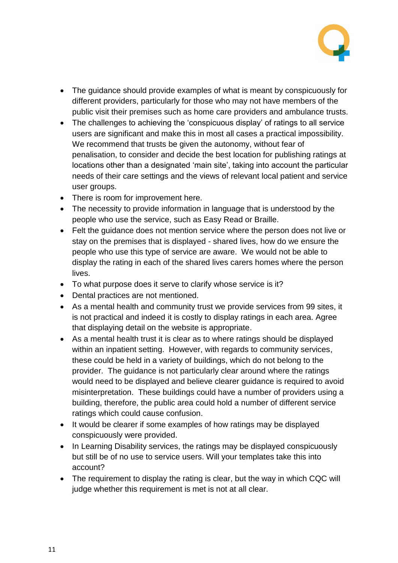

- The guidance should provide examples of what is meant by conspicuously for different providers, particularly for those who may not have members of the public visit their premises such as home care providers and ambulance trusts.
- The challenges to achieving the 'conspicuous display' of ratings to all service users are significant and make this in most all cases a practical impossibility. We recommend that trusts be given the autonomy, without fear of penalisation, to consider and decide the best location for publishing ratings at locations other than a designated 'main site', taking into account the particular needs of their care settings and the views of relevant local patient and service user groups.
- There is room for improvement here.
- The necessity to provide information in language that is understood by the people who use the service, such as Easy Read or Braille.
- Felt the guidance does not mention service where the person does not live or stay on the premises that is displayed - shared lives, how do we ensure the people who use this type of service are aware. We would not be able to display the rating in each of the shared lives carers homes where the person lives.
- To what purpose does it serve to clarify whose service is it?
- Dental practices are not mentioned.
- As a mental health and community trust we provide services from 99 sites, it is not practical and indeed it is costly to display ratings in each area. Agree that displaying detail on the website is appropriate.
- As a mental health trust it is clear as to where ratings should be displayed within an inpatient setting. However, with regards to community services, these could be held in a variety of buildings, which do not belong to the provider. The guidance is not particularly clear around where the ratings would need to be displayed and believe clearer guidance is required to avoid misinterpretation. These buildings could have a number of providers using a building, therefore, the public area could hold a number of different service ratings which could cause confusion.
- It would be clearer if some examples of how ratings may be displayed conspicuously were provided.
- In Learning Disability services, the ratings may be displayed conspicuously but still be of no use to service users. Will your templates take this into account?
- The requirement to display the rating is clear, but the way in which CQC will judge whether this requirement is met is not at all clear.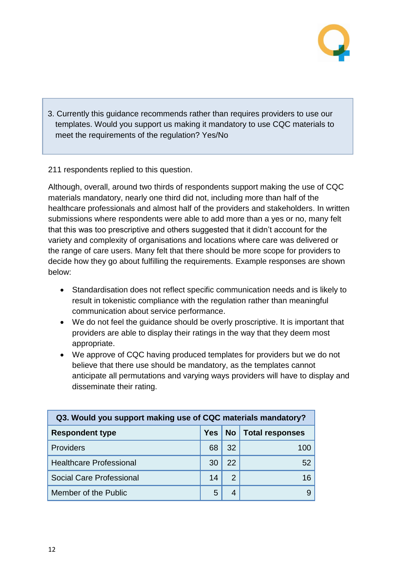

3. Currently this guidance recommends rather than requires providers to use our templates. Would you support us making it mandatory to use CQC materials to meet the requirements of the regulation? Yes/No

211 respondents replied to this question.

Although, overall, around two thirds of respondents support making the use of CQC materials mandatory, nearly one third did not, including more than half of the healthcare professionals and almost half of the providers and stakeholders. In written submissions where respondents were able to add more than a yes or no, many felt that this was too prescriptive and others suggested that it didn't account for the variety and complexity of organisations and locations where care was delivered or the range of care users. Many felt that there should be more scope for providers to decide how they go about fulfilling the requirements. Example responses are shown below:

- Standardisation does not reflect specific communication needs and is likely to result in tokenistic compliance with the regulation rather than meaningful communication about service performance.
- We do not feel the guidance should be overly proscriptive. It is important that providers are able to display their ratings in the way that they deem most appropriate.
- We approve of CQC having produced templates for providers but we do not believe that there use should be mandatory, as the templates cannot anticipate all permutations and varying ways providers will have to display and disseminate their rating.

| Q3. Would you support making use of CQC materials mandatory? |            |               |                      |  |
|--------------------------------------------------------------|------------|---------------|----------------------|--|
| <b>Respondent type</b>                                       | <b>Yes</b> |               | No   Total responses |  |
| <b>Providers</b>                                             | 68         | 32            | 100                  |  |
| <b>Healthcare Professional</b>                               | 30         | 22            | 52                   |  |
| Social Care Professional                                     | 14         | $\mathcal{P}$ | 16                   |  |
| Member of the Public                                         | 5          | 4             |                      |  |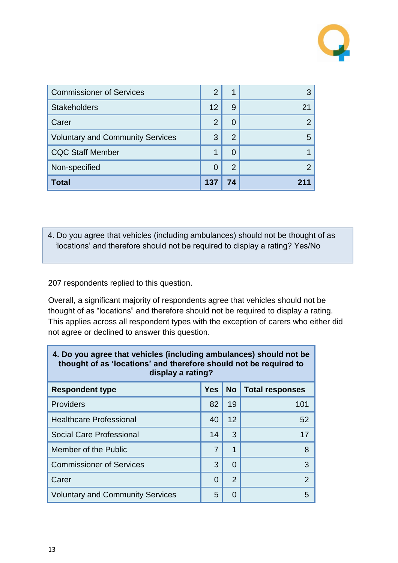

| <b>Commissioner of Services</b>         | 2        | 1              |    |
|-----------------------------------------|----------|----------------|----|
| <b>Stakeholders</b>                     | 12       | 9              | 21 |
| Carer                                   | 2        | 0              |    |
| <b>Voluntary and Community Services</b> | 3        | $\overline{2}$ | 5  |
| <b>CQC Staff Member</b>                 |          | 0              |    |
| Non-specified                           | $\Omega$ | $\overline{2}$ |    |
| <b>Total</b>                            | 137      | 74             |    |

4. Do you agree that vehicles (including ambulances) should not be thought of as 'locations' and therefore should not be required to display a rating? Yes/No

207 respondents replied to this question.

Overall, a significant majority of respondents agree that vehicles should not be thought of as "locations" and therefore should not be required to display a rating. This applies across all respondent types with the exception of carers who either did not agree or declined to answer this question.

| 4. Do you agree that vehicles (including ambulances) should not be<br>thought of as 'locations' and therefore should not be required to<br>display a rating? |            |                |                        |  |
|--------------------------------------------------------------------------------------------------------------------------------------------------------------|------------|----------------|------------------------|--|
| <b>Respondent type</b>                                                                                                                                       | <b>Yes</b> | <b>No</b>      | <b>Total responses</b> |  |
| <b>Providers</b>                                                                                                                                             | 82         | 19             | 101                    |  |
| <b>Healthcare Professional</b>                                                                                                                               | 40         | 12             | 52                     |  |
| Social Care Professional                                                                                                                                     | 14         | 3              | 17                     |  |
| Member of the Public                                                                                                                                         | 7          | 1              | 8                      |  |
| <b>Commissioner of Services</b>                                                                                                                              | 3          | 0              | 3                      |  |
| Carer                                                                                                                                                        | 0          | $\overline{2}$ | $\mathcal P$           |  |
| <b>Voluntary and Community Services</b>                                                                                                                      | 5          | 0              | 5                      |  |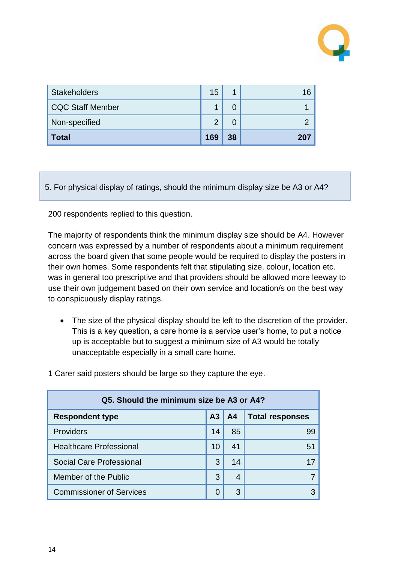

| <b>Stakeholders</b> | 15  |    |  |
|---------------------|-----|----|--|
| CQC Staff Member    |     |    |  |
| Non-specified       | ◠   |    |  |
| <b>Total</b>        | 169 | 38 |  |

5. For physical display of ratings, should the minimum display size be A3 or A4?

200 respondents replied to this question.

The majority of respondents think the minimum display size should be A4. However concern was expressed by a number of respondents about a minimum requirement across the board given that some people would be required to display the posters in their own homes. Some respondents felt that stipulating size, colour, location etc. was in general too prescriptive and that providers should be allowed more leeway to use their own judgement based on their own service and location/s on the best way to conspicuously display ratings.

 The size of the physical display should be left to the discretion of the provider. This is a key question, a care home is a service user's home, to put a notice up is acceptable but to suggest a minimum size of A3 would be totally unacceptable especially in a small care home.

| Q5. Should the minimum size be A3 or A4? |                |    |                        |  |
|------------------------------------------|----------------|----|------------------------|--|
| <b>Respondent type</b>                   | A <sub>3</sub> | A4 | <b>Total responses</b> |  |
| <b>Providers</b>                         | 14             | 85 | 99                     |  |
| <b>Healthcare Professional</b>           | 10             | 41 | 51                     |  |
| Social Care Professional                 | 3              | 14 | 17                     |  |
| Member of the Public                     | 3              | 4  |                        |  |
| <b>Commissioner of Services</b>          | 0              | 3  |                        |  |

1 Carer said posters should be large so they capture the eye.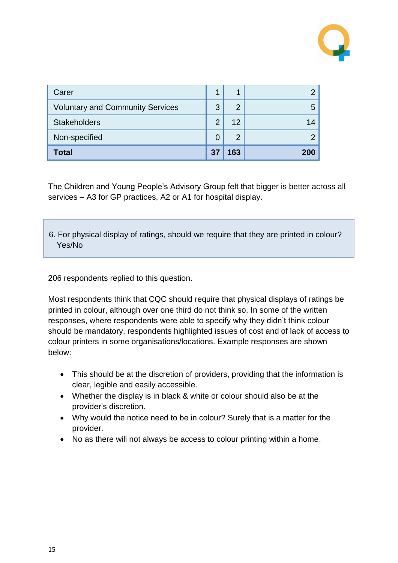

| Carer                                   |    | 1              |     |
|-----------------------------------------|----|----------------|-----|
| <b>Voluntary and Community Services</b> | 3  | $\overline{2}$ | 5   |
| <b>Stakeholders</b>                     | ာ  | 12             | 14  |
| Non-specified                           |    | $\overline{2}$ |     |
| Total                                   | 37 | 163            | 200 |

The Children and Young People's Advisory Group felt that bigger is better across all services – A3 for GP practices, A2 or A1 for hospital display.

6. For physical display of ratings, should we require that they are printed in colour? Yes/No

206 respondents replied to this question.

Most respondents think that CQC should require that physical displays of ratings be printed in colour, although over one third do not think so. In some of the written responses, where respondents were able to specify why they didn't think colour should be mandatory, respondents highlighted issues of cost and of lack of access to colour printers in some organisations/locations. Example responses are shown below:

- This should be at the discretion of providers, providing that the information is clear, legible and easily accessible.
- Whether the display is in black & white or colour should also be at the provider's discretion.
- Why would the notice need to be in colour? Surely that is a matter for the provider.
- No as there will not always be access to colour printing within a home.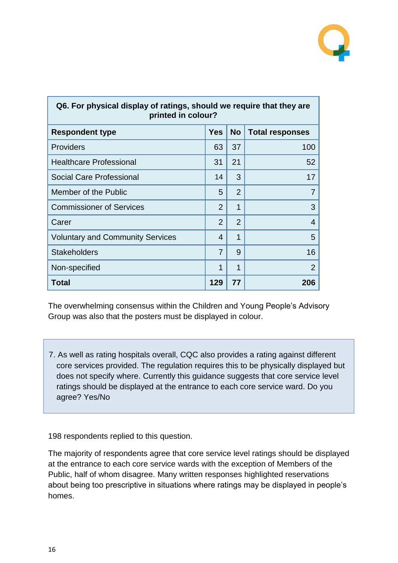

| Q6. For physical display of ratings, should we require that they are<br>printed in colour? |                |                |                        |  |
|--------------------------------------------------------------------------------------------|----------------|----------------|------------------------|--|
| <b>Respondent type</b>                                                                     | <b>Yes</b>     | <b>No</b>      | <b>Total responses</b> |  |
| <b>Providers</b>                                                                           | 63             | 37             | 100                    |  |
| <b>Healthcare Professional</b>                                                             | 31             | 21             | 52                     |  |
| <b>Social Care Professional</b>                                                            | 14             | 3              | 17                     |  |
| Member of the Public                                                                       | 5              | $\overline{2}$ | 7                      |  |
| <b>Commissioner of Services</b>                                                            | $\overline{2}$ | 1              | 3                      |  |
| Carer                                                                                      | $\overline{2}$ | $\overline{2}$ | 4                      |  |
| <b>Voluntary and Community Services</b>                                                    | 4              | 1              | 5                      |  |
| <b>Stakeholders</b>                                                                        | 7              | 9              | 16                     |  |
| Non-specified                                                                              | 1              | 1              | $\overline{2}$         |  |
| Total                                                                                      | 129            | 77             | 206                    |  |

The overwhelming consensus within the Children and Young People's Advisory Group was also that the posters must be displayed in colour.

7. As well as rating hospitals overall, CQC also provides a rating against different core services provided. The regulation requires this to be physically displayed but does not specify where. Currently this guidance suggests that core service level ratings should be displayed at the entrance to each core service ward. Do you agree? Yes/No

198 respondents replied to this question.

The majority of respondents agree that core service level ratings should be displayed at the entrance to each core service wards with the exception of Members of the Public, half of whom disagree. Many written responses highlighted reservations about being too prescriptive in situations where ratings may be displayed in people's homes.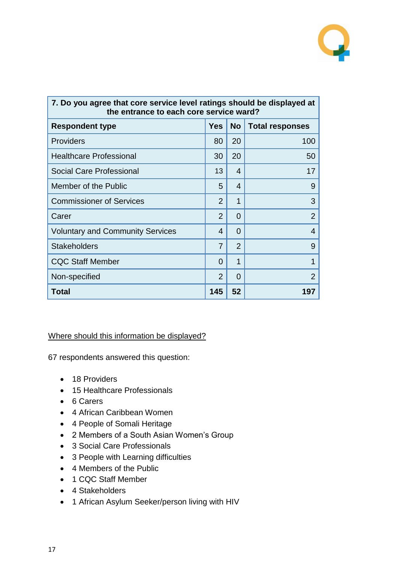

| 7. Do you agree that core service level ratings should be displayed at<br>the entrance to each core service ward? |                |                |                        |  |
|-------------------------------------------------------------------------------------------------------------------|----------------|----------------|------------------------|--|
| <b>Respondent type</b>                                                                                            | <b>Yes</b>     | <b>No</b>      | <b>Total responses</b> |  |
| <b>Providers</b>                                                                                                  | 80             | 20             | 100                    |  |
| <b>Healthcare Professional</b>                                                                                    | 30             | 20             | 50                     |  |
| Social Care Professional                                                                                          | 13             | 4              | 17                     |  |
| Member of the Public                                                                                              | 5              | 4              | 9                      |  |
| <b>Commissioner of Services</b>                                                                                   | $\overline{2}$ | 1              | 3                      |  |
| Carer                                                                                                             | $\overline{2}$ | $\Omega$       | $\overline{2}$         |  |
| <b>Voluntary and Community Services</b>                                                                           | 4              | $\Omega$       | 4                      |  |
| <b>Stakeholders</b>                                                                                               | 7              | $\overline{2}$ | 9                      |  |
| <b>CQC Staff Member</b>                                                                                           | $\Omega$       | 1              | 1                      |  |
| Non-specified                                                                                                     | $\overline{2}$ | $\Omega$       | $\overline{2}$         |  |
| Total                                                                                                             | 145            | 52             | 197                    |  |

#### Where should this information be displayed?

67 respondents answered this question:

- 18 Providers
- 15 Healthcare Professionals
- 6 Carers
- 4 African Caribbean Women
- 4 People of Somali Heritage
- 2 Members of a South Asian Women's Group
- 3 Social Care Professionals
- 3 People with Learning difficulties
- 4 Members of the Public
- 1 CQC Staff Member
- 4 Stakeholders
- 1 African Asylum Seeker/person living with HIV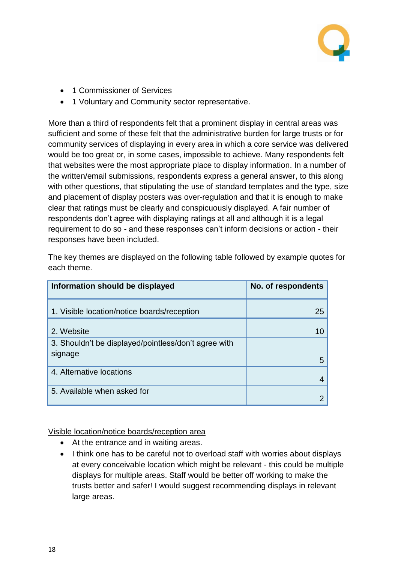

- 1 Commissioner of Services
- 1 Voluntary and Community sector representative.

More than a third of respondents felt that a prominent display in central areas was sufficient and some of these felt that the administrative burden for large trusts or for community services of displaying in every area in which a core service was delivered would be too great or, in some cases, impossible to achieve. Many respondents felt that websites were the most appropriate place to display information. In a number of the written/email submissions, respondents express a general answer, to this along with other questions, that stipulating the use of standard templates and the type, size and placement of display posters was over-regulation and that it is enough to make clear that ratings must be clearly and conspicuously displayed. A fair number of respondents don't agree with displaying ratings at all and although it is a legal requirement to do so - and these responses can't inform decisions or action - their responses have been included.

| Information should be displayed                      | No. of respondents |
|------------------------------------------------------|--------------------|
| 1. Visible location/notice boards/reception          | 25                 |
| 2. Website                                           | 10                 |
| 3. Shouldn't be displayed/pointless/don't agree with |                    |
| signage                                              | 5                  |
| 4. Alternative locations                             | 4                  |
| 5. Available when asked for                          |                    |

The key themes are displayed on the following table followed by example quotes for each theme.

#### Visible location/notice boards/reception area

- At the entrance and in waiting areas.
- I think one has to be careful not to overload staff with worries about displays at every conceivable location which might be relevant - this could be multiple displays for multiple areas. Staff would be better off working to make the trusts better and safer! I would suggest recommending displays in relevant large areas.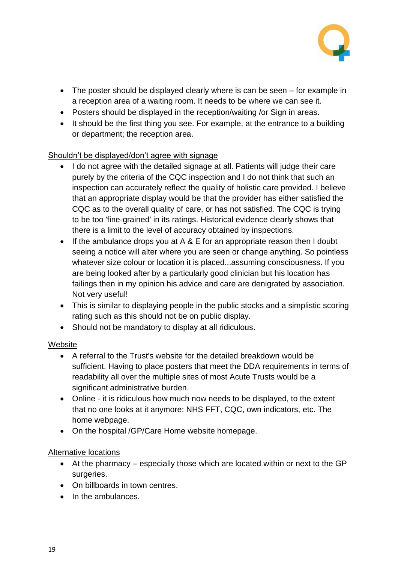

- The poster should be displayed clearly where is can be seen for example in a reception area of a waiting room. It needs to be where we can see it.
- Posters should be displayed in the reception/waiting /or Sign in areas.
- It should be the first thing you see. For example, at the entrance to a building or department; the reception area.

#### Shouldn't be displayed/don't agree with signage

- I do not agree with the detailed signage at all. Patients will judge their care purely by the criteria of the CQC inspection and I do not think that such an inspection can accurately reflect the quality of holistic care provided. I believe that an appropriate display would be that the provider has either satisfied the CQC as to the overall quality of care, or has not satisfied. The CQC is trying to be too 'fine-grained' in its ratings. Historical evidence clearly shows that there is a limit to the level of accuracy obtained by inspections.
- If the ambulance drops you at  $A \& E$  for an appropriate reason then I doubt seeing a notice will alter where you are seen or change anything. So pointless whatever size colour or location it is placed...assuming consciousness. If you are being looked after by a particularly good clinician but his location has failings then in my opinion his advice and care are denigrated by association. Not very useful!
- This is similar to displaying people in the public stocks and a simplistic scoring rating such as this should not be on public display.
- Should not be mandatory to display at all ridiculous.

#### Website

- A referral to the Trust's website for the detailed breakdown would be sufficient. Having to place posters that meet the DDA requirements in terms of readability all over the multiple sites of most Acute Trusts would be a significant administrative burden.
- Online it is ridiculous how much now needs to be displayed, to the extent that no one looks at it anymore: NHS FFT, CQC, own indicators, etc. The home webpage.
- On the hospital /GP/Care Home website homepage.

#### Alternative locations

- At the pharmacy especially those which are located within or next to the GP surgeries.
- On billboards in town centres.
- In the ambulances.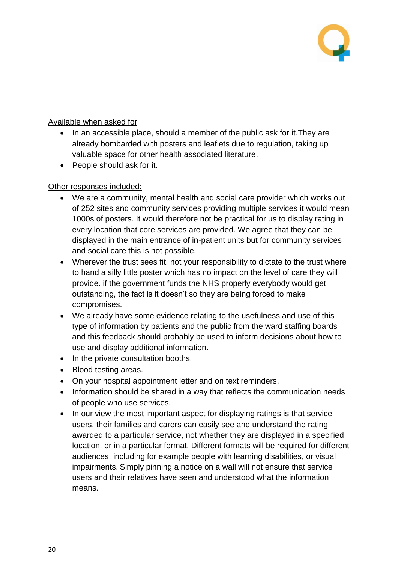

#### Available when asked for

- In an accessible place, should a member of the public ask for it.They are already bombarded with posters and leaflets due to regulation, taking up valuable space for other health associated literature.
- People should ask for it.

#### Other responses included:

- We are a community, mental health and social care provider which works out of 252 sites and community services providing multiple services it would mean 1000s of posters. It would therefore not be practical for us to display rating in every location that core services are provided. We agree that they can be displayed in the main entrance of in-patient units but for community services and social care this is not possible.
- Wherever the trust sees fit, not your responsibility to dictate to the trust where to hand a silly little poster which has no impact on the level of care they will provide. if the government funds the NHS properly everybody would get outstanding, the fact is it doesn't so they are being forced to make compromises.
- We already have some evidence relating to the usefulness and use of this type of information by patients and the public from the ward staffing boards and this feedback should probably be used to inform decisions about how to use and display additional information.
- In the private consultation booths.
- Blood testing areas.
- On your hospital appointment letter and on text reminders.
- Information should be shared in a way that reflects the communication needs of people who use services.
- In our view the most important aspect for displaying ratings is that service users, their families and carers can easily see and understand the rating awarded to a particular service, not whether they are displayed in a specified location, or in a particular format. Different formats will be required for different audiences, including for example people with learning disabilities, or visual impairments. Simply pinning a notice on a wall will not ensure that service users and their relatives have seen and understood what the information means.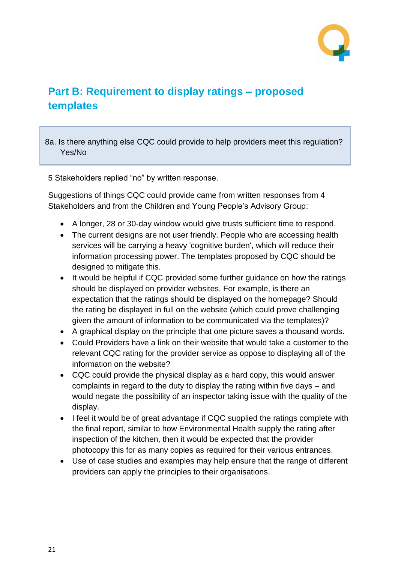

### <span id="page-20-0"></span>**Part B: Requirement to display ratings – proposed templates**

8a. Is there anything else CQC could provide to help providers meet this regulation? Yes/No

5 Stakeholders replied "no" by written response.

Suggestions of things CQC could provide came from written responses from 4 Stakeholders and from the Children and Young People's Advisory Group:

- A longer, 28 or 30-day window would give trusts sufficient time to respond.
- The current designs are not user friendly. People who are accessing health services will be carrying a heavy 'cognitive burden', which will reduce their information processing power. The templates proposed by CQC should be designed to mitigate this.
- It would be helpful if CQC provided some further quidance on how the ratings should be displayed on provider websites. For example, is there an expectation that the ratings should be displayed on the homepage? Should the rating be displayed in full on the website (which could prove challenging given the amount of information to be communicated via the templates)?
- A graphical display on the principle that one picture saves a thousand words.
- Could Providers have a link on their website that would take a customer to the relevant CQC rating for the provider service as oppose to displaying all of the information on the website?
- CQC could provide the physical display as a hard copy, this would answer complaints in regard to the duty to display the rating within five days – and would negate the possibility of an inspector taking issue with the quality of the display.
- I feel it would be of great advantage if CQC supplied the ratings complete with the final report, similar to how Environmental Health supply the rating after inspection of the kitchen, then it would be expected that the provider photocopy this for as many copies as required for their various entrances.
- Use of case studies and examples may help ensure that the range of different providers can apply the principles to their organisations.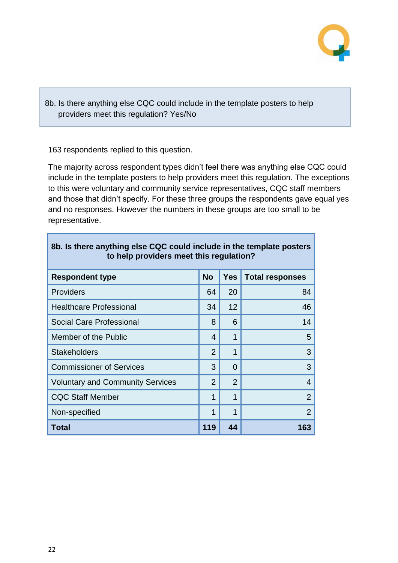

8b. Is there anything else CQC could include in the template posters to help providers meet this regulation? Yes/No

163 respondents replied to this question.

The majority across respondent types didn't feel there was anything else CQC could include in the template posters to help providers meet this regulation. The exceptions to this were voluntary and community service representatives, CQC staff members and those that didn't specify. For these three groups the respondents gave equal yes and no responses. However the numbers in these groups are too small to be representative.

| 8b. Is there anything else CQC could include in the template posters<br>to help providers meet this regulation? |                |                |                        |  |
|-----------------------------------------------------------------------------------------------------------------|----------------|----------------|------------------------|--|
| <b>Respondent type</b>                                                                                          | <b>No</b>      | <b>Yes</b>     | <b>Total responses</b> |  |
| <b>Providers</b>                                                                                                | 64             | 20             | 84                     |  |
| <b>Healthcare Professional</b>                                                                                  | 34             | 12             | 46                     |  |
| <b>Social Care Professional</b>                                                                                 | 8              | 6              | 14                     |  |
| Member of the Public                                                                                            | 4              | 1              | 5                      |  |
| <b>Stakeholders</b>                                                                                             | $\overline{2}$ | 1              | 3                      |  |
| <b>Commissioner of Services</b>                                                                                 | 3              | $\Omega$       | 3                      |  |
| <b>Voluntary and Community Services</b>                                                                         | $\overline{2}$ | $\overline{2}$ | 4                      |  |
| <b>CQC Staff Member</b>                                                                                         | 1              | 1              | $\overline{2}$         |  |
| Non-specified                                                                                                   | 1              | 1              | $\overline{2}$         |  |
| <b>Total</b>                                                                                                    | 119            | 44             | 163                    |  |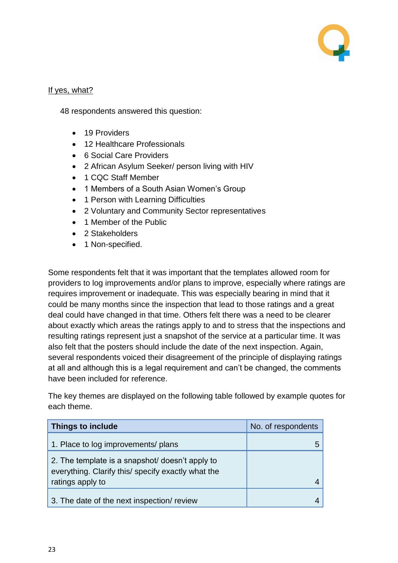

#### If yes, what?

48 respondents answered this question:

- 19 Providers
- 12 Healthcare Professionals
- 6 Social Care Providers
- 2 African Asylum Seeker/ person living with HIV
- 1 CQC Staff Member
- 1 Members of a South Asian Women's Group
- 1 Person with Learning Difficulties
- 2 Voluntary and Community Sector representatives
- 1 Member of the Public
- 2 Stakeholders
- 1 Non-specified.

Some respondents felt that it was important that the templates allowed room for providers to log improvements and/or plans to improve, especially where ratings are requires improvement or inadequate. This was especially bearing in mind that it could be many months since the inspection that lead to those ratings and a great deal could have changed in that time. Others felt there was a need to be clearer about exactly which areas the ratings apply to and to stress that the inspections and resulting ratings represent just a snapshot of the service at a particular time. It was also felt that the posters should include the date of the next inspection. Again, several respondents voiced their disagreement of the principle of displaying ratings at all and although this is a legal requirement and can't be changed, the comments have been included for reference.

The key themes are displayed on the following table followed by example quotes for each theme.

| Things to include                                                                                     | No. of respondents |
|-------------------------------------------------------------------------------------------------------|--------------------|
| 1. Place to log improvements/ plans                                                                   |                    |
| 2. The template is a snapshot/ doesn't apply to<br>everything. Clarify this/ specify exactly what the |                    |
| ratings apply to                                                                                      |                    |
| 3. The date of the next inspection/ review                                                            |                    |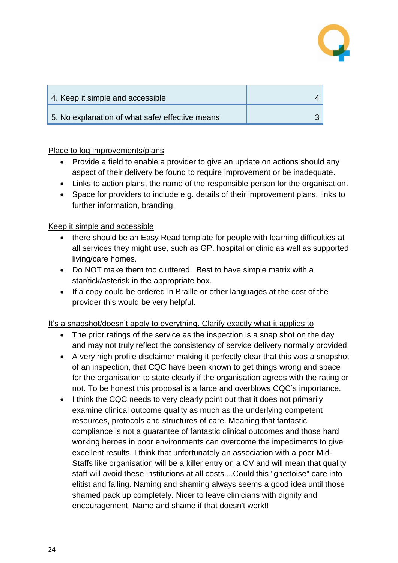

| 4. Keep it simple and accessible                |  |
|-------------------------------------------------|--|
| 5. No explanation of what safe/ effective means |  |

Place to log improvements/plans

- Provide a field to enable a provider to give an update on actions should any aspect of their delivery be found to require improvement or be inadequate.
- Links to action plans, the name of the responsible person for the organisation.
- Space for providers to include e.g. details of their improvement plans, links to further information, branding,

Keep it simple and accessible

- there should be an Easy Read template for people with learning difficulties at all services they might use, such as GP, hospital or clinic as well as supported living/care homes.
- Do NOT make them too cluttered. Best to have simple matrix with a star/tick/asterisk in the appropriate box.
- If a copy could be ordered in Braille or other languages at the cost of the provider this would be very helpful.

It's a snapshot/doesn't apply to everything. Clarify exactly what it applies to

- The prior ratings of the service as the inspection is a snap shot on the day and may not truly reflect the consistency of service delivery normally provided.
- A very high profile disclaimer making it perfectly clear that this was a snapshot of an inspection, that CQC have been known to get things wrong and space for the organisation to state clearly if the organisation agrees with the rating or not. To be honest this proposal is a farce and overblows CQC's importance.
- I think the CQC needs to very clearly point out that it does not primarily examine clinical outcome quality as much as the underlying competent resources, protocols and structures of care. Meaning that fantastic compliance is not a guarantee of fantastic clinical outcomes and those hard working heroes in poor environments can overcome the impediments to give excellent results. I think that unfortunately an association with a poor Mid-Staffs like organisation will be a killer entry on a CV and will mean that quality staff will avoid these institutions at all costs....Could this "ghettoise" care into elitist and failing. Naming and shaming always seems a good idea until those shamed pack up completely. Nicer to leave clinicians with dignity and encouragement. Name and shame if that doesn't work!!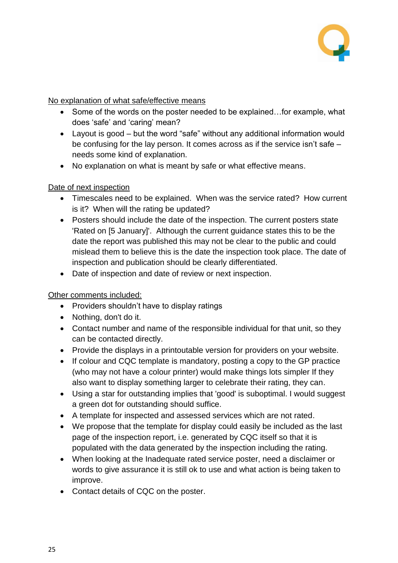

#### No explanation of what safe/effective means

- Some of the words on the poster needed to be explained...for example, what does 'safe' and 'caring' mean?
- Layout is good but the word "safe" without any additional information would be confusing for the lay person. It comes across as if the service isn't safe – needs some kind of explanation.
- No explanation on what is meant by safe or what effective means.

#### Date of next inspection

- Timescales need to be explained. When was the service rated? How current is it? When will the rating be updated?
- Posters should include the date of the inspection. The current posters state 'Rated on [5 January]'. Although the current guidance states this to be the date the report was published this may not be clear to the public and could mislead them to believe this is the date the inspection took place. The date of inspection and publication should be clearly differentiated.
- Date of inspection and date of review or next inspection.

#### Other comments included:

- Providers shouldn't have to display ratings
- Nothing, don't do it.
- Contact number and name of the responsible individual for that unit, so they can be contacted directly.
- Provide the displays in a printoutable version for providers on your website.
- If colour and CQC template is mandatory, posting a copy to the GP practice (who may not have a colour printer) would make things lots simpler If they also want to display something larger to celebrate their rating, they can.
- Using a star for outstanding implies that 'good' is suboptimal. I would suggest a green dot for outstanding should suffice.
- A template for inspected and assessed services which are not rated.
- We propose that the template for display could easily be included as the last page of the inspection report, i.e. generated by CQC itself so that it is populated with the data generated by the inspection including the rating.
- When looking at the Inadequate rated service poster, need a disclaimer or words to give assurance it is still ok to use and what action is being taken to improve.
- Contact details of CQC on the poster.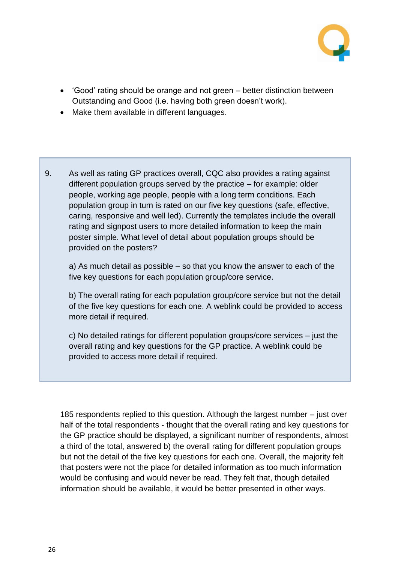

- 'Good' rating should be orange and not green better distinction between Outstanding and Good (i.e. having both green doesn't work).
- Make them available in different languages.
- 9. As well as rating GP practices overall, CQC also provides a rating against different population groups served by the practice – for example: older people, working age people, people with a long term conditions. Each population group in turn is rated on our five key questions (safe, effective, caring, responsive and well led). Currently the templates include the overall rating and signpost users to more detailed information to keep the main poster simple. What level of detail about population groups should be provided on the posters?

a) As much detail as possible – so that you know the answer to each of the five key questions for each population group/core service.

b) The overall rating for each population group/core service but not the detail of the five key questions for each one. A weblink could be provided to access more detail if required.

c) No detailed ratings for different population groups/core services – just the overall rating and key questions for the GP practice. A weblink could be provided to access more detail if required.

185 respondents replied to this question. Although the largest number – just over half of the total respondents - thought that the overall rating and key questions for the GP practice should be displayed, a significant number of respondents, almost a third of the total, answered b) the overall rating for different population groups but not the detail of the five key questions for each one. Overall, the majority felt that posters were not the place for detailed information as too much information would be confusing and would never be read. They felt that, though detailed information should be available, it would be better presented in other ways.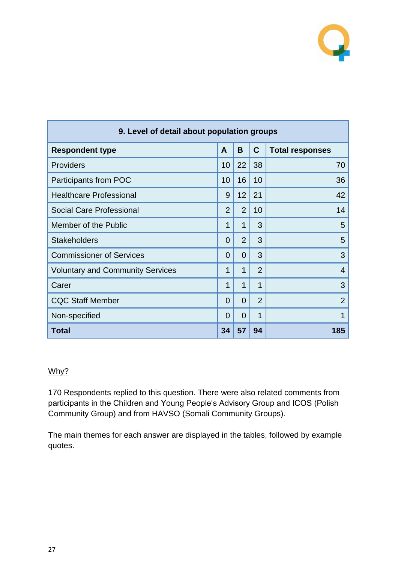

| 9. Level of detail about population groups |                |                |                |                        |
|--------------------------------------------|----------------|----------------|----------------|------------------------|
| <b>Respondent type</b>                     | A              | B              | $\mathbf C$    | <b>Total responses</b> |
| <b>Providers</b>                           | 10             | 22             | 38             | 70                     |
| Participants from POC                      | 10             | 16             | 10             | 36                     |
| <b>Healthcare Professional</b>             | 9              | 12             | 21             | 42                     |
| Social Care Professional                   | $\overline{2}$ | $\overline{2}$ | 10             | 14                     |
| Member of the Public                       | 1              | 1              | 3              | 5                      |
| <b>Stakeholders</b>                        | $\overline{0}$ | $\overline{2}$ | 3              | 5                      |
| <b>Commissioner of Services</b>            | 0              | 0              | 3              | 3                      |
| <b>Voluntary and Community Services</b>    | 1              | 1              | $\overline{2}$ | $\overline{4}$         |
| Carer                                      | 1              | 1              | 1              | 3                      |
| <b>CQC Staff Member</b>                    | 0              | 0              | $\overline{2}$ | $\overline{2}$         |
| Non-specified                              | 0              | $\Omega$       | 1              | 1                      |
| Total                                      | 34             | 57             | 94             | 185                    |

#### Why?

170 Respondents replied to this question. There were also related comments from participants in the Children and Young People's Advisory Group and ICOS (Polish Community Group) and from HAVSO (Somali Community Groups).

The main themes for each answer are displayed in the tables, followed by example quotes.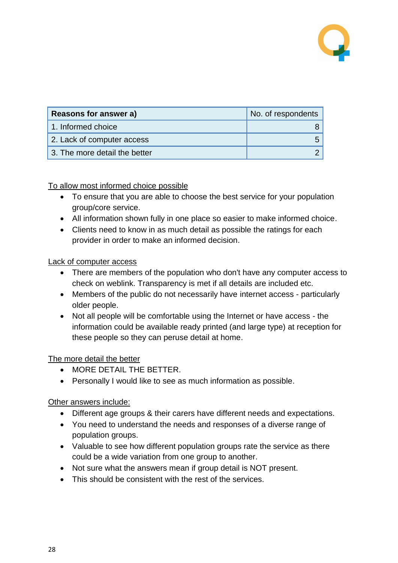

| Reasons for answer a)         | No. of respondents |
|-------------------------------|--------------------|
| 1. Informed choice            |                    |
| 2. Lack of computer access    |                    |
| 3. The more detail the better |                    |

#### To allow most informed choice possible

- To ensure that you are able to choose the best service for your population group/core service.
- All information shown fully in one place so easier to make informed choice.
- Clients need to know in as much detail as possible the ratings for each provider in order to make an informed decision.

#### Lack of computer access

- There are members of the population who don't have any computer access to check on weblink. Transparency is met if all details are included etc.
- Members of the public do not necessarily have internet access particularly older people.
- Not all people will be comfortable using the Internet or have access the information could be available ready printed (and large type) at reception for these people so they can peruse detail at home.

#### The more detail the better

- MORE DETAIL THE BETTER.
- Personally I would like to see as much information as possible.

#### Other answers include:

- Different age groups & their carers have different needs and expectations.
- You need to understand the needs and responses of a diverse range of population groups.
- Valuable to see how different population groups rate the service as there could be a wide variation from one group to another.
- Not sure what the answers mean if group detail is NOT present.
- This should be consistent with the rest of the services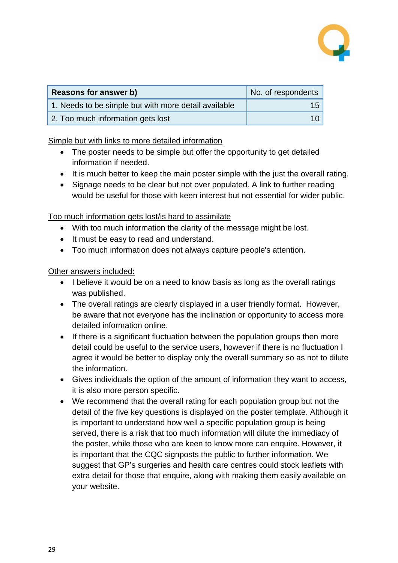

| Reasons for answer b)                                | No. of respondents |
|------------------------------------------------------|--------------------|
| 1. Needs to be simple but with more detail available | 15                 |
| 2. Too much information gets lost                    | 10                 |

Simple but with links to more detailed information

- The poster needs to be simple but offer the opportunity to get detailed information if needed.
- It is much better to keep the main poster simple with the just the overall rating.
- Signage needs to be clear but not over populated. A link to further reading would be useful for those with keen interest but not essential for wider public.

Too much information gets lost/is hard to assimilate

- With too much information the clarity of the message might be lost.
- It must be easy to read and understand.
- Too much information does not always capture people's attention.

Other answers included:

- I believe it would be on a need to know basis as long as the overall ratings was published.
- The overall ratings are clearly displayed in a user friendly format. However, be aware that not everyone has the inclination or opportunity to access more detailed information online.
- If there is a significant fluctuation between the population groups then more detail could be useful to the service users, however if there is no fluctuation I agree it would be better to display only the overall summary so as not to dilute the information.
- Gives individuals the option of the amount of information they want to access, it is also more person specific.
- We recommend that the overall rating for each population group but not the detail of the five key questions is displayed on the poster template. Although it is important to understand how well a specific population group is being served, there is a risk that too much information will dilute the immediacy of the poster, while those who are keen to know more can enquire. However, it is important that the CQC signposts the public to further information. We suggest that GP's surgeries and health care centres could stock leaflets with extra detail for those that enquire, along with making them easily available on your website.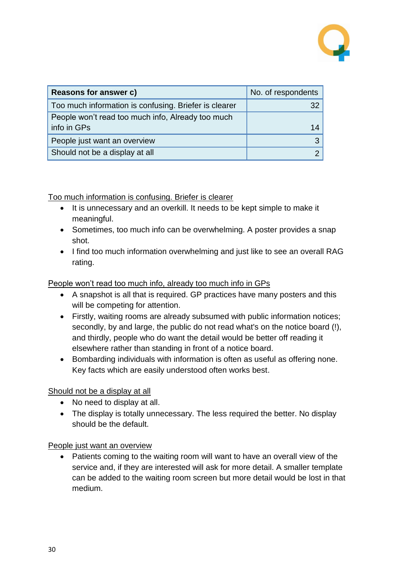

| <b>Reasons for answer c)</b>                          | No. of respondents |
|-------------------------------------------------------|--------------------|
| Too much information is confusing. Briefer is clearer |                    |
| People won't read too much info, Already too much     |                    |
| info in GPs                                           |                    |
| People just want an overview                          |                    |
| Should not be a display at all                        |                    |

Too much information is confusing. Briefer is clearer

- It is unnecessary and an overkill. It needs to be kept simple to make it meaningful.
- Sometimes, too much info can be overwhelming. A poster provides a snap shot.
- I find too much information overwhelming and just like to see an overall RAG rating.

People won't read too much info, already too much info in GPs

- A snapshot is all that is required. GP practices have many posters and this will be competing for attention.
- Firstly, waiting rooms are already subsumed with public information notices; secondly, by and large, the public do not read what's on the notice board (!), and thirdly, people who do want the detail would be better off reading it elsewhere rather than standing in front of a notice board.
- Bombarding individuals with information is often as useful as offering none. Key facts which are easily understood often works best.

Should not be a display at all

- No need to display at all.
- The display is totally unnecessary. The less required the better. No display should be the default.

People just want an overview

• Patients coming to the waiting room will want to have an overall view of the service and, if they are interested will ask for more detail. A smaller template can be added to the waiting room screen but more detail would be lost in that medium.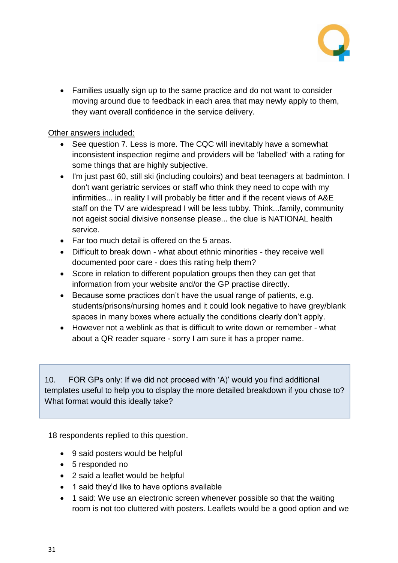

 Families usually sign up to the same practice and do not want to consider moving around due to feedback in each area that may newly apply to them, they want overall confidence in the service delivery.

Other answers included:

- See question 7. Less is more. The CQC will inevitably have a somewhat inconsistent inspection regime and providers will be 'labelled' with a rating for some things that are highly subjective.
- I'm just past 60, still ski (including couloirs) and beat teenagers at badminton. I don't want geriatric services or staff who think they need to cope with my infirmities... in reality I will probably be fitter and if the recent views of A&E staff on the TV are widespread I will be less tubby. Think...family, community not ageist social divisive nonsense please... the clue is NATIONAL health service.
- Far too much detail is offered on the 5 areas.
- Difficult to break down what about ethnic minorities they receive well documented poor care - does this rating help them?
- Score in relation to different population groups then they can get that information from your website and/or the GP practise directly.
- Because some practices don't have the usual range of patients, e.g. students/prisons/nursing homes and it could look negative to have grey/blank spaces in many boxes where actually the conditions clearly don't apply.
- However not a weblink as that is difficult to write down or remember what about a QR reader square - sorry I am sure it has a proper name.

10. FOR GPs only: If we did not proceed with 'A)' would you find additional templates useful to help you to display the more detailed breakdown if you chose to? What format would this ideally take?

18 respondents replied to this question.

- 9 said posters would be helpful
- 5 responded no
- 2 said a leaflet would be helpful
- 1 said they'd like to have options available
- 1 said: We use an electronic screen whenever possible so that the waiting room is not too cluttered with posters. Leaflets would be a good option and we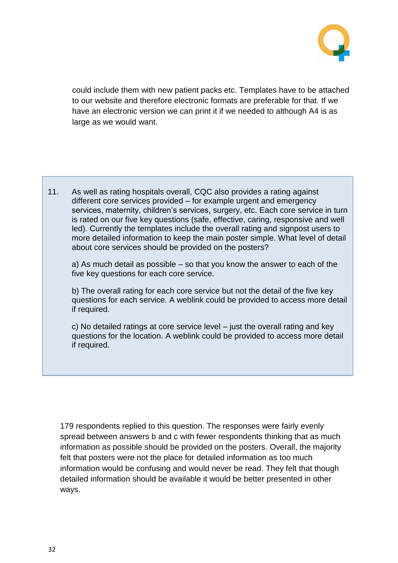

could include them with new patient packs etc. Templates have to be attached to our website and therefore electronic formats are preferable for that. If we have an electronic version we can print it if we needed to although A4 is as large as we would want.

11. As well as rating hospitals overall, CQC also provides a rating against different core services provided – for example urgent and emergency services, maternity, children's services, surgery, etc. Each core service in turn is rated on our five key questions (safe, effective, caring, responsive and well led). Currently the templates include the overall rating and signpost users to more detailed information to keep the main poster simple. What level of detail about core services should be provided on the posters?

a) As much detail as possible – so that you know the answer to each of the five key questions for each core service.

b) The overall rating for each core service but not the detail of the five key questions for each service. A weblink could be provided to access more detail if required.

c) No detailed ratings at core service level – just the overall rating and key questions for the location. A weblink could be provided to access more detail if required.

179 respondents replied to this question. The responses were fairly evenly spread between answers b and c with fewer respondents thinking that as much information as possible should be provided on the posters. Overall, the majority felt that posters were not the place for detailed information as too much information would be confusing and would never be read. They felt that though detailed information should be available it would be better presented in other ways.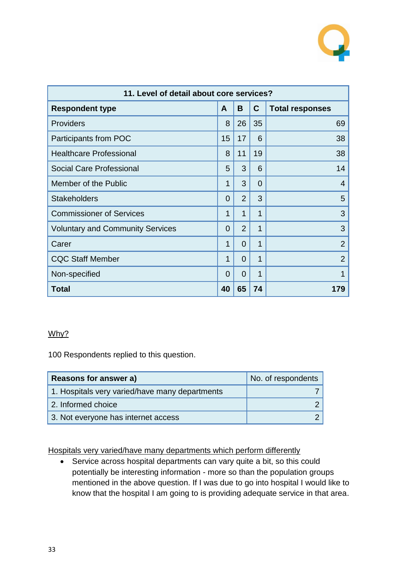

| 11. Level of detail about core services? |          |                |             |                        |
|------------------------------------------|----------|----------------|-------------|------------------------|
| <b>Respondent type</b>                   | A        | B              | $\mathbf C$ | <b>Total responses</b> |
| <b>Providers</b>                         | 8        | 26             | 35          | 69                     |
| Participants from POC                    | 15       | 17             | 6           | 38                     |
| <b>Healthcare Professional</b>           | 8        | 11             | 19          | 38                     |
| Social Care Professional                 | 5        | 3              | 6           | 14                     |
| Member of the Public                     | 1        | 3              | 0           | $\overline{4}$         |
| <b>Stakeholders</b>                      | 0        | $\overline{2}$ | 3           | 5                      |
| <b>Commissioner of Services</b>          | 1        | 1              | 1           | 3                      |
| <b>Voluntary and Community Services</b>  | 0        | $\overline{2}$ | 1           | 3                      |
| Carer                                    | 1        | 0              | 1           | $\overline{2}$         |
| <b>CQC Staff Member</b>                  | 1        | 0              | 1           | $\overline{2}$         |
| Non-specified                            | $\Omega$ | $\Omega$       | 1           | 1                      |
| <b>Total</b>                             | 40       | 65             | 74          | 179                    |

#### Why?

100 Respondents replied to this question.

| Reasons for answer a)                          | No. of respondents |
|------------------------------------------------|--------------------|
| 1. Hospitals very varied/have many departments |                    |
| 2. Informed choice                             |                    |
| 3. Not everyone has internet access            |                    |

Hospitals very varied/have many departments which perform differently

 Service across hospital departments can vary quite a bit, so this could potentially be interesting information - more so than the population groups mentioned in the above question. If I was due to go into hospital I would like to know that the hospital I am going to is providing adequate service in that area.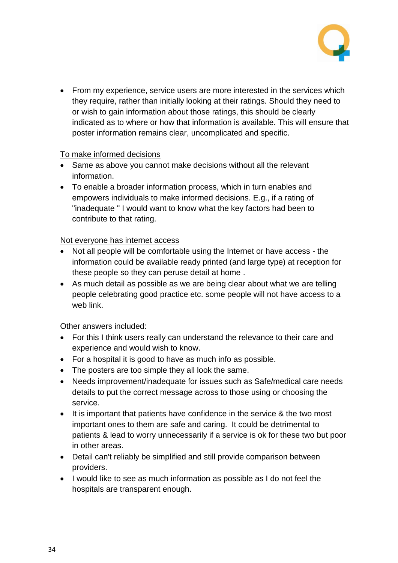

• From my experience, service users are more interested in the services which they require, rather than initially looking at their ratings. Should they need to or wish to gain information about those ratings, this should be clearly indicated as to where or how that information is available. This will ensure that poster information remains clear, uncomplicated and specific.

#### To make informed decisions

- Same as above you cannot make decisions without all the relevant information.
- To enable a broader information process, which in turn enables and empowers individuals to make informed decisions. E.g., if a rating of "inadequate " I would want to know what the key factors had been to contribute to that rating.

#### Not everyone has internet access

- Not all people will be comfortable using the Internet or have access the information could be available ready printed (and large type) at reception for these people so they can peruse detail at home .
- As much detail as possible as we are being clear about what we are telling people celebrating good practice etc. some people will not have access to a web link.

#### Other answers included:

- For this I think users really can understand the relevance to their care and experience and would wish to know.
- For a hospital it is good to have as much info as possible.
- The posters are too simple they all look the same.
- Needs improvement/inadequate for issues such as Safe/medical care needs details to put the correct message across to those using or choosing the service.
- It is important that patients have confidence in the service & the two most important ones to them are safe and caring. It could be detrimental to patients & lead to worry unnecessarily if a service is ok for these two but poor in other areas.
- Detail can't reliably be simplified and still provide comparison between providers.
- I would like to see as much information as possible as I do not feel the hospitals are transparent enough.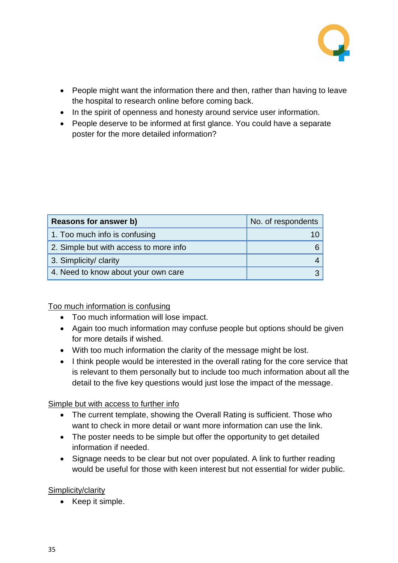

- People might want the information there and then, rather than having to leave the hospital to research online before coming back.
- In the spirit of openness and honesty around service user information.
- People deserve to be informed at first glance. You could have a separate poster for the more detailed information?

| Reasons for answer b)                  | No. of respondents |
|----------------------------------------|--------------------|
| 1. Too much info is confusing          |                    |
| 2. Simple but with access to more info |                    |
| 3. Simplicity/ clarity                 |                    |
| 4. Need to know about your own care    |                    |

Too much information is confusing

- Too much information will lose impact.
- Again too much information may confuse people but options should be given for more details if wished.
- With too much information the clarity of the message might be lost.
- I think people would be interested in the overall rating for the core service that is relevant to them personally but to include too much information about all the detail to the five key questions would just lose the impact of the message.

#### Simple but with access to further info

- The current template, showing the Overall Rating is sufficient. Those who want to check in more detail or want more information can use the link.
- The poster needs to be simple but offer the opportunity to get detailed information if needed.
- Signage needs to be clear but not over populated. A link to further reading would be useful for those with keen interest but not essential for wider public.

#### Simplicity/clarity

• Keep it simple.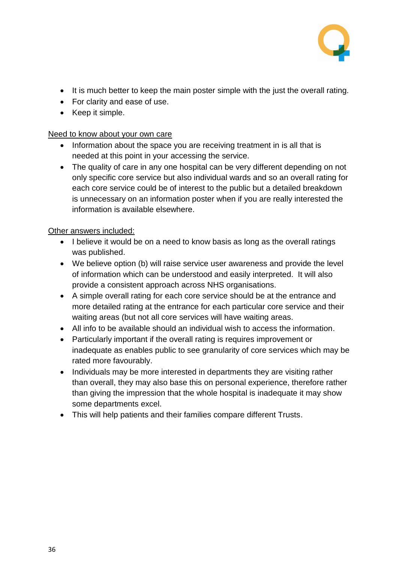

- It is much better to keep the main poster simple with the just the overall rating.
- For clarity and ease of use.
- Keep it simple.

#### Need to know about your own care

- Information about the space you are receiving treatment in is all that is needed at this point in your accessing the service.
- The quality of care in any one hospital can be very different depending on not only specific core service but also individual wards and so an overall rating for each core service could be of interest to the public but a detailed breakdown is unnecessary on an information poster when if you are really interested the information is available elsewhere.

#### Other answers included:

- I believe it would be on a need to know basis as long as the overall ratings was published.
- We believe option (b) will raise service user awareness and provide the level of information which can be understood and easily interpreted. It will also provide a consistent approach across NHS organisations.
- A simple overall rating for each core service should be at the entrance and more detailed rating at the entrance for each particular core service and their waiting areas (but not all core services will have waiting areas.
- All info to be available should an individual wish to access the information.
- Particularly important if the overall rating is requires improvement or inadequate as enables public to see granularity of core services which may be rated more favourably.
- Individuals may be more interested in departments they are visiting rather than overall, they may also base this on personal experience, therefore rather than giving the impression that the whole hospital is inadequate it may show some departments excel.
- This will help patients and their families compare different Trusts.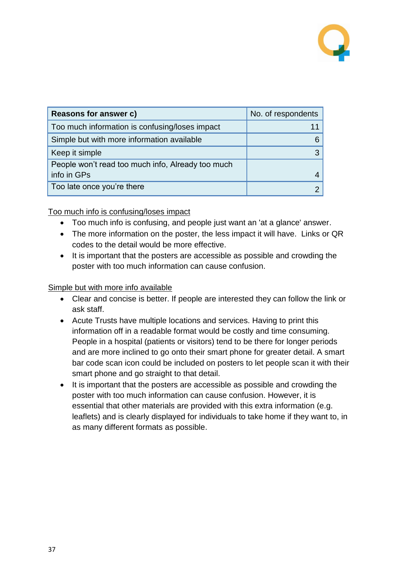

| Reasons for answer c)                             | No. of respondents |
|---------------------------------------------------|--------------------|
| Too much information is confusing/loses impact    |                    |
| Simple but with more information available        |                    |
| Keep it simple                                    |                    |
| People won't read too much info, Already too much |                    |
| info in GPs                                       |                    |
| Too late once you're there                        |                    |

#### Too much info is confusing/loses impact

- Too much info is confusing, and people just want an 'at a glance' answer.
- The more information on the poster, the less impact it will have. Links or QR codes to the detail would be more effective.
- It is important that the posters are accessible as possible and crowding the poster with too much information can cause confusion.

#### Simple but with more info available

- Clear and concise is better. If people are interested they can follow the link or ask staff.
- Acute Trusts have multiple locations and services. Having to print this information off in a readable format would be costly and time consuming. People in a hospital (patients or visitors) tend to be there for longer periods and are more inclined to go onto their smart phone for greater detail. A smart bar code scan icon could be included on posters to let people scan it with their smart phone and go straight to that detail.
- It is important that the posters are accessible as possible and crowding the poster with too much information can cause confusion. However, it is essential that other materials are provided with this extra information (e.g. leaflets) and is clearly displayed for individuals to take home if they want to, in as many different formats as possible.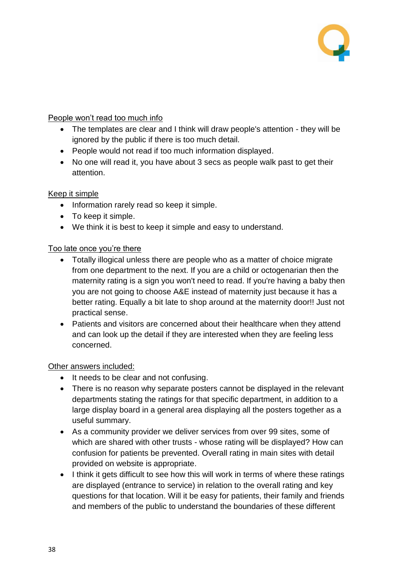

#### People won't read too much info

- The templates are clear and I think will draw people's attention they will be ignored by the public if there is too much detail.
- People would not read if too much information displayed.
- No one will read it, you have about 3 secs as people walk past to get their attention.

#### Keep it simple

- Information rarely read so keep it simple.
- To keep it simple.
- We think it is best to keep it simple and easy to understand.

#### Too late once you're there

- Totally illogical unless there are people who as a matter of choice migrate from one department to the next. If you are a child or octogenarian then the maternity rating is a sign you won't need to read. If you're having a baby then you are not going to choose A&E instead of maternity just because it has a better rating. Equally a bit late to shop around at the maternity door!! Just not practical sense.
- Patients and visitors are concerned about their healthcare when they attend and can look up the detail if they are interested when they are feeling less concerned.

#### Other answers included:

- It needs to be clear and not confusing.
- There is no reason why separate posters cannot be displayed in the relevant departments stating the ratings for that specific department, in addition to a large display board in a general area displaying all the posters together as a useful summary.
- As a community provider we deliver services from over 99 sites, some of which are shared with other trusts - whose rating will be displayed? How can confusion for patients be prevented. Overall rating in main sites with detail provided on website is appropriate.
- I think it gets difficult to see how this will work in terms of where these ratings are displayed (entrance to service) in relation to the overall rating and key questions for that location. Will it be easy for patients, their family and friends and members of the public to understand the boundaries of these different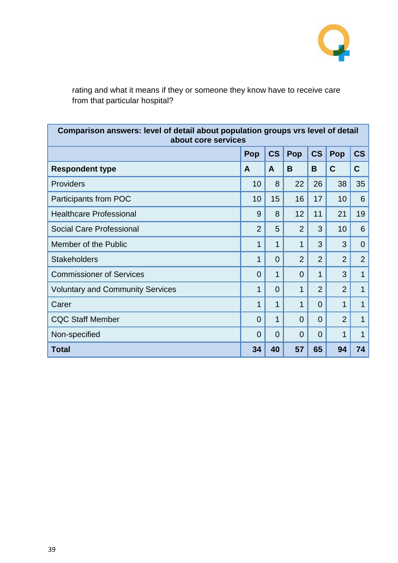

rating and what it means if they or someone they know have to receive care from that particular hospital?

| Comparison answers: level of detail about population groups vrs level of detail<br>about core services |                |                |                |                |                |                          |
|--------------------------------------------------------------------------------------------------------|----------------|----------------|----------------|----------------|----------------|--------------------------|
|                                                                                                        | Pop            | <b>CS</b>      | Pop            | <b>CS</b>      | Pop            | $\mathsf{CS}\phantom{0}$ |
| <b>Respondent type</b>                                                                                 | A              | A              | B              | B              | $\mathbf C$    | C                        |
| Providers                                                                                              | 10             | 8              | 22             | 26             | 38             | 35                       |
| Participants from POC                                                                                  | 10             | 15             | 16             | 17             | 10             | 6                        |
| <b>Healthcare Professional</b>                                                                         | 9              | 8              | 12             | 11             | 21             | 19                       |
| <b>Social Care Professional</b>                                                                        | $\overline{2}$ | 5              | $\overline{2}$ | 3              | 10             | 6                        |
| Member of the Public                                                                                   | 1              | 1              | 1              | 3              | 3              | $\overline{0}$           |
| <b>Stakeholders</b>                                                                                    | 1              | $\overline{0}$ | $\overline{2}$ | $\overline{2}$ | $\overline{2}$ | $\overline{2}$           |
| <b>Commissioner of Services</b>                                                                        | 0              | 1              | $\Omega$       | 1              | 3              | 1                        |
| <b>Voluntary and Community Services</b>                                                                | 1              | 0              | 1              | $\overline{2}$ | $\overline{2}$ | 1                        |
| Carer                                                                                                  | 1              | 1              | 1              | $\overline{0}$ | 1              | 1                        |
| <b>CQC Staff Member</b>                                                                                | 0              | 1              | $\Omega$       | $\Omega$       | $\overline{2}$ | 1                        |
| Non-specified                                                                                          | 0              | $\overline{0}$ | 0              | $\Omega$       | 1              | 1                        |
| Total                                                                                                  | 34             | 40             | 57             | 65             | 94             | 74                       |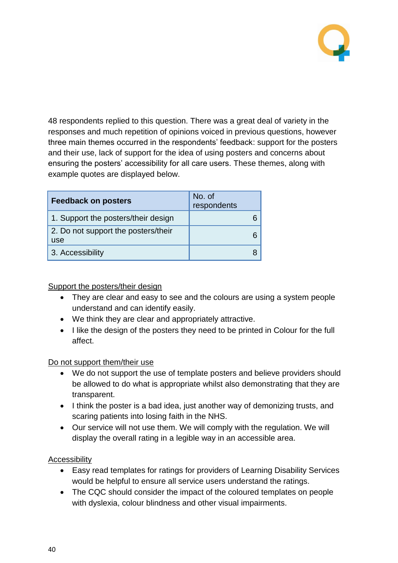

48 respondents replied to this question. There was a great deal of variety in the responses and much repetition of opinions voiced in previous questions, however three main themes occurred in the respondents' feedback: support for the posters and their use, lack of support for the idea of using posters and concerns about ensuring the posters' accessibility for all care users. These themes, along with example quotes are displayed below.

| <b>Feedback on posters</b>                 | No. of<br>respondents |
|--------------------------------------------|-----------------------|
| 1. Support the posters/their design        |                       |
| 2. Do not support the posters/their<br>use |                       |
| 3. Accessibility                           |                       |

Support the posters/their design

- They are clear and easy to see and the colours are using a system people understand and can identify easily.
- We think they are clear and appropriately attractive.
- I like the design of the posters they need to be printed in Colour for the full affect.

#### Do not support them/their use

- We do not support the use of template posters and believe providers should be allowed to do what is appropriate whilst also demonstrating that they are transparent.
- I think the poster is a bad idea, just another way of demonizing trusts, and scaring patients into losing faith in the NHS.
- Our service will not use them. We will comply with the regulation. We will display the overall rating in a legible way in an accessible area.

#### Accessibility

- Easy read templates for ratings for providers of Learning Disability Services would be helpful to ensure all service users understand the ratings.
- The CQC should consider the impact of the coloured templates on people with dyslexia, colour blindness and other visual impairments.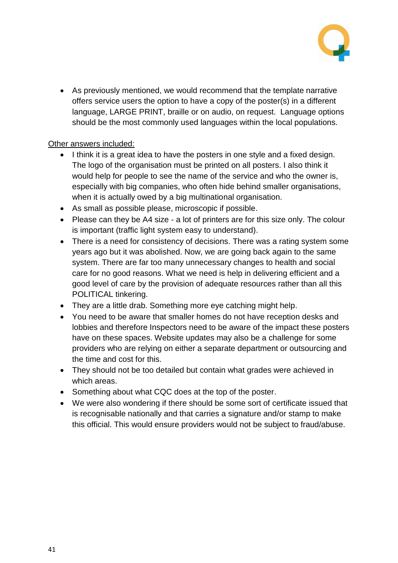

 As previously mentioned, we would recommend that the template narrative offers service users the option to have a copy of the poster(s) in a different language, LARGE PRINT, braille or on audio, on request. Language options should be the most commonly used languages within the local populations.

#### Other answers included:

- I think it is a great idea to have the posters in one style and a fixed design. The logo of the organisation must be printed on all posters. I also think it would help for people to see the name of the service and who the owner is, especially with big companies, who often hide behind smaller organisations, when it is actually owed by a big multinational organisation.
- As small as possible please, microscopic if possible.
- Please can they be A4 size a lot of printers are for this size only. The colour is important (traffic light system easy to understand).
- There is a need for consistency of decisions. There was a rating system some years ago but it was abolished. Now, we are going back again to the same system. There are far too many unnecessary changes to health and social care for no good reasons. What we need is help in delivering efficient and a good level of care by the provision of adequate resources rather than all this POLITICAL tinkering.
- They are a little drab. Something more eye catching might help.
- You need to be aware that smaller homes do not have reception desks and lobbies and therefore Inspectors need to be aware of the impact these posters have on these spaces. Website updates may also be a challenge for some providers who are relying on either a separate department or outsourcing and the time and cost for this.
- They should not be too detailed but contain what grades were achieved in which areas.
- Something about what CQC does at the top of the poster.
- We were also wondering if there should be some sort of certificate issued that is recognisable nationally and that carries a signature and/or stamp to make this official. This would ensure providers would not be subject to fraud/abuse.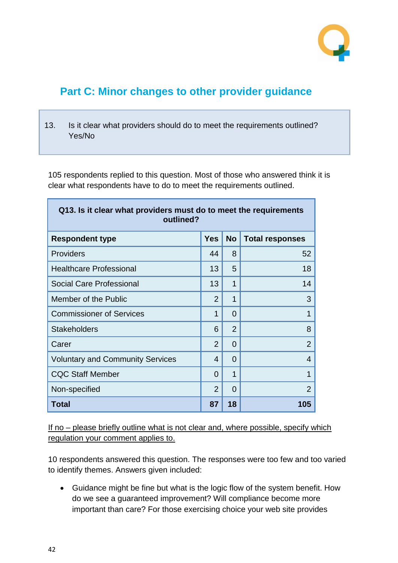

## <span id="page-41-0"></span>**Part C: Minor changes to other provider guidance**

13. Is it clear what providers should do to meet the requirements outlined? Yes/No

105 respondents replied to this question. Most of those who answered think it is clear what respondents have to do to meet the requirements outlined.

| Q13. Is it clear what providers must do to meet the requirements<br>outlined? |                |                |                        |
|-------------------------------------------------------------------------------|----------------|----------------|------------------------|
| <b>Respondent type</b>                                                        | <b>Yes</b>     | <b>No</b>      | <b>Total responses</b> |
| <b>Providers</b>                                                              | 44             | 8              | 52                     |
| <b>Healthcare Professional</b>                                                | 13             | 5              | 18                     |
| <b>Social Care Professional</b>                                               | 13             | 1              | 14                     |
| Member of the Public                                                          | $\overline{2}$ | 1              | 3                      |
| <b>Commissioner of Services</b>                                               | 1              | $\Omega$       | 1                      |
| <b>Stakeholders</b>                                                           | 6              | $\overline{2}$ | 8                      |
| Carer                                                                         | $\overline{2}$ | $\Omega$       | $\overline{2}$         |
| <b>Voluntary and Community Services</b>                                       | 4              | $\Omega$       | 4                      |
| <b>CQC Staff Member</b>                                                       | $\Omega$       | 1              | 1                      |
| Non-specified                                                                 | $\overline{2}$ | $\Omega$       | $\overline{2}$         |
| <b>Total</b>                                                                  | 87             | 18             | 105                    |

If no – please briefly outline what is not clear and, where possible, specify which regulation your comment applies to.

10 respondents answered this question. The responses were too few and too varied to identify themes. Answers given included:

 Guidance might be fine but what is the logic flow of the system benefit. How do we see a guaranteed improvement? Will compliance become more important than care? For those exercising choice your web site provides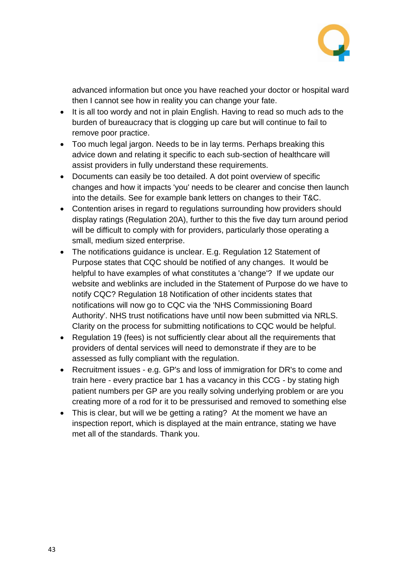

advanced information but once you have reached your doctor or hospital ward then I cannot see how in reality you can change your fate.

- It is all too wordy and not in plain English. Having to read so much ads to the burden of bureaucracy that is clogging up care but will continue to fail to remove poor practice.
- Too much legal jargon. Needs to be in lay terms. Perhaps breaking this advice down and relating it specific to each sub-section of healthcare will assist providers in fully understand these requirements.
- Documents can easily be too detailed. A dot point overview of specific changes and how it impacts 'you' needs to be clearer and concise then launch into the details. See for example bank letters on changes to their T&C.
- Contention arises in regard to regulations surrounding how providers should display ratings (Regulation 20A), further to this the five day turn around period will be difficult to comply with for providers, particularly those operating a small, medium sized enterprise.
- The notifications guidance is unclear. E.g. Regulation 12 Statement of Purpose states that CQC should be notified of any changes. It would be helpful to have examples of what constitutes a 'change'? If we update our website and weblinks are included in the Statement of Purpose do we have to notify CQC? Regulation 18 Notification of other incidents states that notifications will now go to CQC via the 'NHS Commissioning Board Authority'. NHS trust notifications have until now been submitted via NRLS. Clarity on the process for submitting notifications to CQC would be helpful.
- Regulation 19 (fees) is not sufficiently clear about all the requirements that providers of dental services will need to demonstrate if they are to be assessed as fully compliant with the regulation.
- Recruitment issues e.g. GP's and loss of immigration for DR's to come and train here - every practice bar 1 has a vacancy in this CCG - by stating high patient numbers per GP are you really solving underlying problem or are you creating more of a rod for it to be pressurised and removed to something else
- This is clear, but will we be getting a rating? At the moment we have an inspection report, which is displayed at the main entrance, stating we have met all of the standards. Thank you.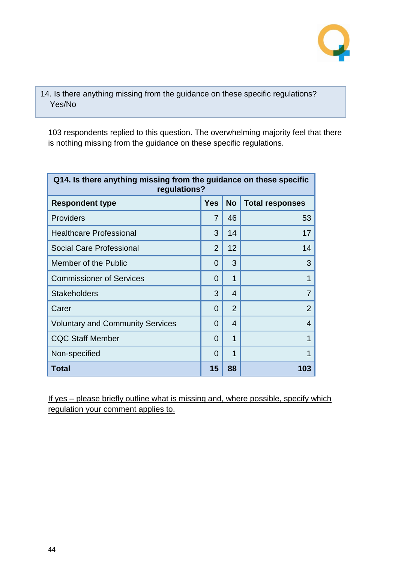

14. Is there anything missing from the guidance on these specific regulations? Yes/No

103 respondents replied to this question. The overwhelming majority feel that there is nothing missing from the guidance on these specific regulations.

| Q14. Is there anything missing from the guidance on these specific<br>regulations? |                |                |                        |
|------------------------------------------------------------------------------------|----------------|----------------|------------------------|
| <b>Respondent type</b>                                                             | <b>Yes</b>     | <b>No</b>      | <b>Total responses</b> |
| <b>Providers</b>                                                                   | 7              | 46             | 53                     |
| <b>Healthcare Professional</b>                                                     | 3              | 14             | 17                     |
| <b>Social Care Professional</b>                                                    | $\mathfrak{D}$ | 12             | 14                     |
| Member of the Public                                                               | $\Omega$       | 3              | 3                      |
| <b>Commissioner of Services</b>                                                    | 0              | 1              |                        |
| <b>Stakeholders</b>                                                                | 3              | $\overline{4}$ | 7                      |
| Carer                                                                              | 0              | $\overline{2}$ | $\overline{2}$         |
| <b>Voluntary and Community Services</b>                                            | $\Omega$       | 4              | 4                      |
| <b>CQC Staff Member</b>                                                            | 0              | 1              | 1                      |
| Non-specified                                                                      | 0              | 1              |                        |
| Total                                                                              | 15             | 88             | 103                    |

If yes – please briefly outline what is missing and, where possible, specify which regulation your comment applies to.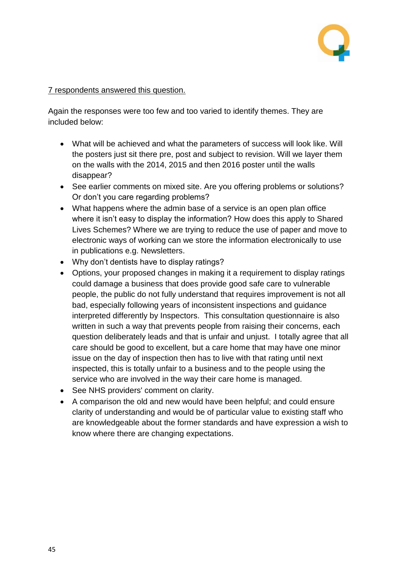

#### 7 respondents answered this question.

Again the responses were too few and too varied to identify themes. They are included below:

- What will be achieved and what the parameters of success will look like. Will the posters just sit there pre, post and subject to revision. Will we layer them on the walls with the 2014, 2015 and then 2016 poster until the walls disappear?
- See earlier comments on mixed site. Are you offering problems or solutions? Or don't you care regarding problems?
- What happens where the admin base of a service is an open plan office where it isn't easy to display the information? How does this apply to Shared Lives Schemes? Where we are trying to reduce the use of paper and move to electronic ways of working can we store the information electronically to use in publications e.g. Newsletters.
- Why don't dentists have to display ratings?
- Options, your proposed changes in making it a requirement to display ratings could damage a business that does provide good safe care to vulnerable people, the public do not fully understand that requires improvement is not all bad, especially following years of inconsistent inspections and guidance interpreted differently by Inspectors. This consultation questionnaire is also written in such a way that prevents people from raising their concerns, each question deliberately leads and that is unfair and unjust. I totally agree that all care should be good to excellent, but a care home that may have one minor issue on the day of inspection then has to live with that rating until next inspected, this is totally unfair to a business and to the people using the service who are involved in the way their care home is managed.
- See NHS providers' comment on clarity.
- A comparison the old and new would have been helpful; and could ensure clarity of understanding and would be of particular value to existing staff who are knowledgeable about the former standards and have expression a wish to know where there are changing expectations.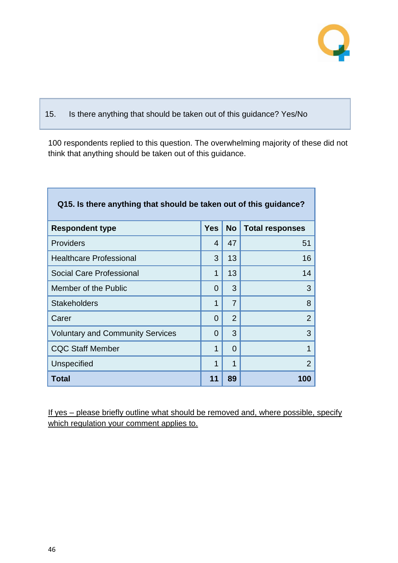

#### 15. Is there anything that should be taken out of this guidance? Yes/No

100 respondents replied to this question. The overwhelming majority of these did not think that anything should be taken out of this guidance.

| Q15. Is there anything that should be taken out of this guidance? |            |                |                        |
|-------------------------------------------------------------------|------------|----------------|------------------------|
| <b>Respondent type</b>                                            | <b>Yes</b> | <b>No</b>      | <b>Total responses</b> |
| <b>Providers</b>                                                  | 4          | 47             | 51                     |
| <b>Healthcare Professional</b>                                    | 3          | 13             | 16                     |
| <b>Social Care Professional</b>                                   | 1          | 13             | 14                     |
| Member of the Public                                              | 0          | 3              | 3                      |
| <b>Stakeholders</b>                                               | 1          | $\overline{7}$ | 8                      |
| Carer                                                             | 0          | $\overline{2}$ | $\overline{2}$         |
| <b>Voluntary and Community Services</b>                           | 0          | 3              | 3                      |
| <b>CQC Staff Member</b>                                           | 1          | $\Omega$       | 1                      |
| Unspecified                                                       | 1          | 1              | $\overline{2}$         |
| <b>Total</b>                                                      | 11         | 89             | 100                    |

If yes – please briefly outline what should be removed and, where possible, specify which regulation your comment applies to.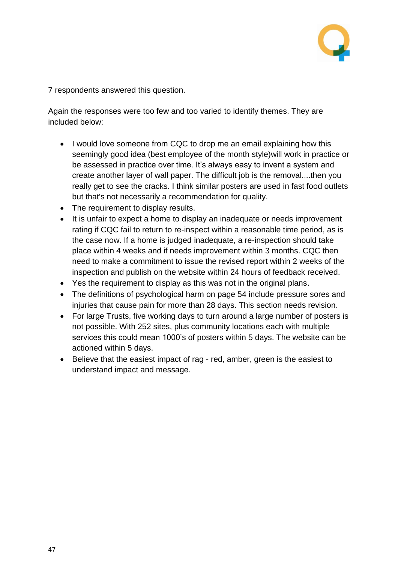

#### 7 respondents answered this question.

Again the responses were too few and too varied to identify themes. They are included below:

- I would love someone from CQC to drop me an email explaining how this seemingly good idea (best employee of the month style)will work in practice or be assessed in practice over time. It's always easy to invent a system and create another layer of wall paper. The difficult job is the removal....then you really get to see the cracks. I think similar posters are used in fast food outlets but that's not necessarily a recommendation for quality.
- The requirement to display results.
- It is unfair to expect a home to display an inadequate or needs improvement rating if CQC fail to return to re-inspect within a reasonable time period, as is the case now. If a home is judged inadequate, a re-inspection should take place within 4 weeks and if needs improvement within 3 months. CQC then need to make a commitment to issue the revised report within 2 weeks of the inspection and publish on the website within 24 hours of feedback received.
- Yes the requirement to display as this was not in the original plans.
- The definitions of psychological harm on page 54 include pressure sores and injuries that cause pain for more than 28 days. This section needs revision.
- For large Trusts, five working days to turn around a large number of posters is not possible. With 252 sites, plus community locations each with multiple services this could mean 1000's of posters within 5 days. The website can be actioned within 5 days.
- Believe that the easiest impact of rag red, amber, green is the easiest to understand impact and message.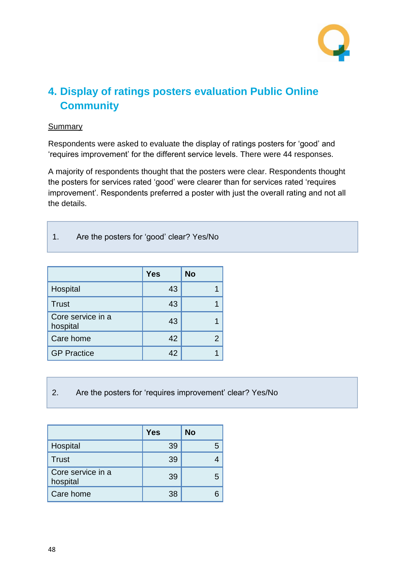

# <span id="page-47-0"></span>**4. Display of ratings posters evaluation Public Online Community**

#### **Summary**

Respondents were asked to evaluate the display of ratings posters for 'good' and 'requires improvement' for the different service levels. There were 44 responses.

A majority of respondents thought that the posters were clear. Respondents thought the posters for services rated 'good' were clearer than for services rated 'requires improvement'. Respondents preferred a poster with just the overall rating and not all the details.

1. Are the posters for 'good' clear? Yes/No

|                               | <b>Yes</b> | <b>No</b> |
|-------------------------------|------------|-----------|
| Hospital                      | 43         |           |
| <b>Trust</b>                  | 43         |           |
| Core service in a<br>hospital | 43         |           |
| Care home                     | 42         |           |
| <b>GP Practice</b>            | 42         |           |

2. Are the posters for 'requires improvement' clear? Yes/No

|                               | <b>Yes</b> | <b>No</b> |
|-------------------------------|------------|-----------|
| Hospital                      | 39         |           |
| <b>Trust</b>                  | 39         |           |
| Core service in a<br>hospital | 39         |           |
| Care home                     | 38         |           |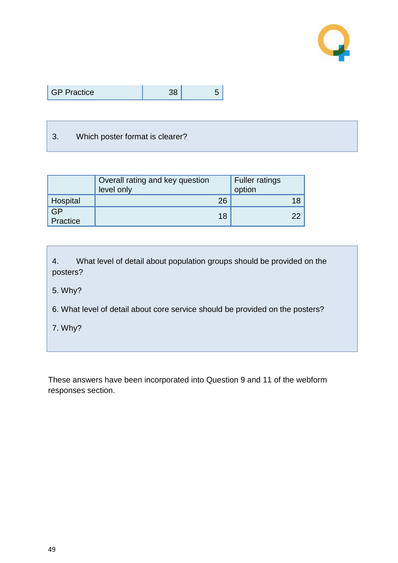

| <b>GP Practice</b> |  |  |
|--------------------|--|--|
|--------------------|--|--|

#### 3. Which poster format is clearer?

|                | Overall rating and key question<br>level only | <b>Fuller ratings</b><br>option |
|----------------|-----------------------------------------------|---------------------------------|
| Hospital       | 26                                            |                                 |
| GP<br>Practice | 18                                            | າາ                              |

4. What level of detail about population groups should be provided on the posters?

5. Why?

6. What level of detail about core service should be provided on the posters?

7. Why?

These answers have been incorporated into Question 9 and 11 of the webform responses section.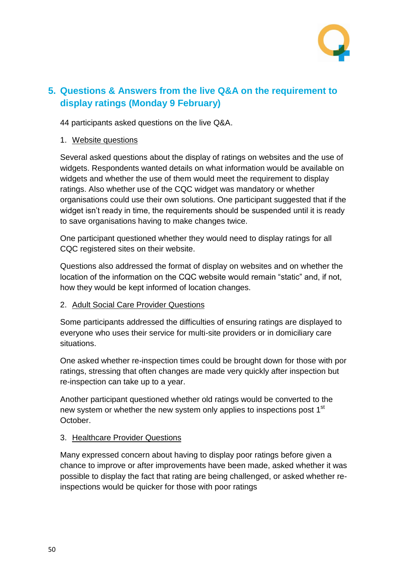

### <span id="page-49-0"></span>**5. Questions & Answers from the live Q&A on the requirement to display ratings (Monday 9 February)**

44 participants asked questions on the live Q&A.

1. Website questions

Several asked questions about the display of ratings on websites and the use of widgets. Respondents wanted details on what information would be available on widgets and whether the use of them would meet the requirement to display ratings. Also whether use of the CQC widget was mandatory or whether organisations could use their own solutions. One participant suggested that if the widget isn't ready in time, the requirements should be suspended until it is ready to save organisations having to make changes twice.

One participant questioned whether they would need to display ratings for all CQC registered sites on their website.

Questions also addressed the format of display on websites and on whether the location of the information on the CQC website would remain "static" and, if not, how they would be kept informed of location changes.

#### 2. Adult Social Care Provider Questions

Some participants addressed the difficulties of ensuring ratings are displayed to everyone who uses their service for multi-site providers or in domiciliary care situations.

One asked whether re-inspection times could be brought down for those with por ratings, stressing that often changes are made very quickly after inspection but re-inspection can take up to a year.

Another participant questioned whether old ratings would be converted to the new system or whether the new system only applies to inspections post 1<sup>st</sup> October.

#### 3. Healthcare Provider Questions

Many expressed concern about having to display poor ratings before given a chance to improve or after improvements have been made, asked whether it was possible to display the fact that rating are being challenged, or asked whether reinspections would be quicker for those with poor ratings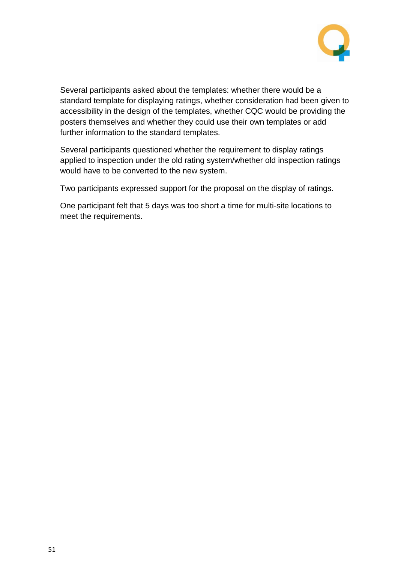

Several participants asked about the templates: whether there would be a standard template for displaying ratings, whether consideration had been given to accessibility in the design of the templates, whether CQC would be providing the posters themselves and whether they could use their own templates or add further information to the standard templates.

Several participants questioned whether the requirement to display ratings applied to inspection under the old rating system/whether old inspection ratings would have to be converted to the new system.

Two participants expressed support for the proposal on the display of ratings.

One participant felt that 5 days was too short a time for multi-site locations to meet the requirements.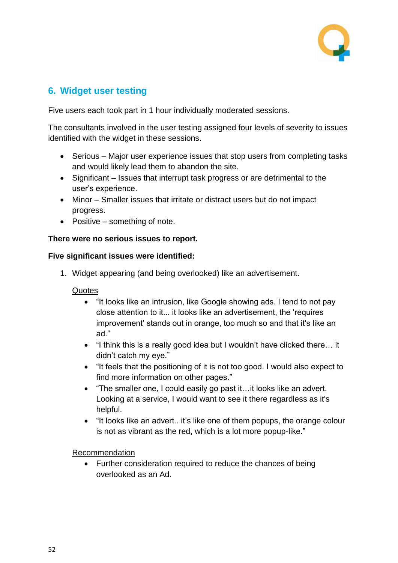

### <span id="page-51-0"></span>**6. Widget user testing**

Five users each took part in 1 hour individually moderated sessions.

The consultants involved in the user testing assigned four levels of severity to issues identified with the widget in these sessions.

- Serious Major user experience issues that stop users from completing tasks and would likely lead them to abandon the site.
- Significant Issues that interrupt task progress or are detrimental to the user's experience.
- Minor Smaller issues that irritate or distract users but do not impact progress.
- Positive something of note.

#### **There were no serious issues to report.**

#### **Five significant issues were identified:**

1. Widget appearing (and being overlooked) like an advertisement.

#### **Quotes**

- "It looks like an intrusion, like Google showing ads. I tend to not pay close attention to it... it looks like an advertisement, the 'requires improvement' stands out in orange, too much so and that it's like an ad."
- "I think this is a really good idea but I wouldn't have clicked there… it didn't catch my eye."
- "It feels that the positioning of it is not too good. I would also expect to find more information on other pages."
- "The smaller one, I could easily go past it…it looks like an advert. Looking at a service, I would want to see it there regardless as it's helpful.
- "It looks like an advert.. it's like one of them popups, the orange colour is not as vibrant as the red, which is a lot more popup-like."

Recommendation

• Further consideration required to reduce the chances of being overlooked as an Ad.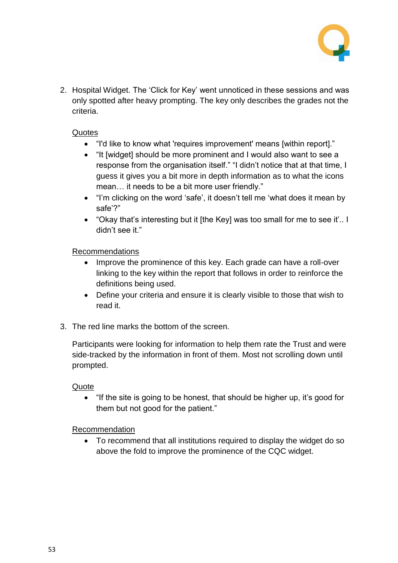

2. Hospital Widget. The 'Click for Key' went unnoticed in these sessions and was only spotted after heavy prompting. The key only describes the grades not the criteria.

#### Quotes

- "I'd like to know what 'requires improvement' means [within report]."
- "It [widget] should be more prominent and I would also want to see a response from the organisation itself." "I didn't notice that at that time, I guess it gives you a bit more in depth information as to what the icons mean… it needs to be a bit more user friendly."
- "I'm clicking on the word 'safe', it doesn't tell me 'what does it mean by safe'?"
- "Okay that's interesting but it [the Key] was too small for me to see it'.. I didn't see it."

#### Recommendations

- Improve the prominence of this key. Each grade can have a roll-over linking to the key within the report that follows in order to reinforce the definitions being used.
- Define your criteria and ensure it is clearly visible to those that wish to read it.
- 3. The red line marks the bottom of the screen.

Participants were looking for information to help them rate the Trust and were side-tracked by the information in front of them. Most not scrolling down until prompted.

#### Quote

 "If the site is going to be honest, that should be higher up, it's good for them but not good for the patient."

#### Recommendation

 To recommend that all institutions required to display the widget do so above the fold to improve the prominence of the CQC widget.